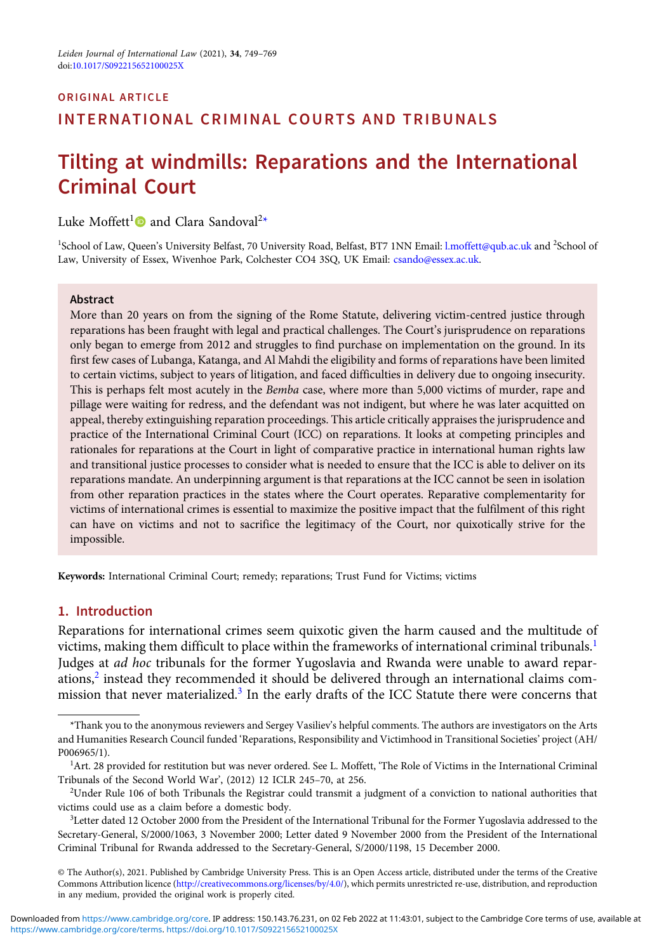# ORIGINAL ARTICLE INTERNATIONAL CRIMINAL COURTS AND TRIBUNALS

# Tilting at windmills: Reparations and the International Criminal Court

Luke Moffett<sup>1</sup> $\bullet$  and Clara Sandoval<sup>2\*</sup>

<sup>1</sup>School of Law, Queen's University Belfast, 70 University Road, Belfast, BT7 1NN Email: [l.moffett@qub.ac.uk](mailto:l.moffett@qub.ac.uk) and <sup>2</sup>School of Law, University of Essex, Wivenhoe Park, Colchester CO4 3SQ, UK Email: [csando@essex.ac.uk](mailto:csando@essex.ac.uk).

#### Abstract

More than 20 years on from the signing of the Rome Statute, delivering victim-centred justice through reparations has been fraught with legal and practical challenges. The Court's jurisprudence on reparations only began to emerge from 2012 and struggles to find purchase on implementation on the ground. In its first few cases of Lubanga, Katanga, and Al Mahdi the eligibility and forms of reparations have been limited to certain victims, subject to years of litigation, and faced difficulties in delivery due to ongoing insecurity. This is perhaps felt most acutely in the *Bemba* case, where more than 5,000 victims of murder, rape and pillage were waiting for redress, and the defendant was not indigent, but where he was later acquitted on appeal, thereby extinguishing reparation proceedings. This article critically appraises the jurisprudence and practice of the International Criminal Court (ICC) on reparations. It looks at competing principles and rationales for reparations at the Court in light of comparative practice in international human rights law and transitional justice processes to consider what is needed to ensure that the ICC is able to deliver on its reparations mandate. An underpinning argument is that reparations at the ICC cannot be seen in isolation from other reparation practices in the states where the Court operates. Reparative complementarity for victims of international crimes is essential to maximize the positive impact that the fulfilment of this right can have on victims and not to sacrifice the legitimacy of the Court, nor quixotically strive for the impossible.

Keywords: International Criminal Court; remedy; reparations; Trust Fund for Victims; victims

### 1. Introduction

Reparations for international crimes seem quixotic given the harm caused and the multitude of victims, making them difficult to place within the frameworks of international criminal tribunals.<sup>1</sup> Judges at *ad hoc* tribunals for the former Yugoslavia and Rwanda were unable to award reparations,<sup>2</sup> instead they recommended it should be delivered through an international claims commission that never materialized.<sup>3</sup> In the early drafts of the ICC Statute there were concerns that

<sup>\*</sup>Thank you to the anonymous reviewers and Sergey Vasiliev's helpful comments. The authors are investigators on the Arts and Humanities Research Council funded 'Reparations, Responsibility and Victimhood in Transitional Societies' project (AH/ P006965/1).

<sup>&</sup>lt;sup>1</sup>Art. 28 provided for restitution but was never ordered. See L. Moffett, 'The Role of Victims in the International Criminal Tribunals of the Second World War', (2012) 12 ICLR 245–70, at 256.

<sup>2</sup> Under Rule 106 of both Tribunals the Registrar could transmit a judgment of a conviction to national authorities that victims could use as a claim before a domestic body.

<sup>3</sup> Letter dated 12 October 2000 from the President of the International Tribunal for the Former Yugoslavia addressed to the Secretary-General, S/2000/1063, 3 November 2000; Letter dated 9 November 2000 from the President of the International Criminal Tribunal for Rwanda addressed to the Secretary-General, S/2000/1198, 15 December 2000.

<sup>©</sup> The Author(s), 2021. Published by Cambridge University Press. This is an Open Access article, distributed under the terms of the Creative Commons Attribution licence ([http://creativecommons.org/licenses/by/4.0/\)](http://creativecommons.org/licenses/by/4.0/), which permits unrestricted re-use, distribution, and reproduction in any medium, provided the original work is properly cited.

<https://www.cambridge.org/core/terms>.<https://doi.org/10.1017/S092215652100025X> Downloaded from<https://www.cambridge.org/core>. IP address: 150.143.76.231, on 02 Feb 2022 at 11:43:01, subject to the Cambridge Core terms of use, available at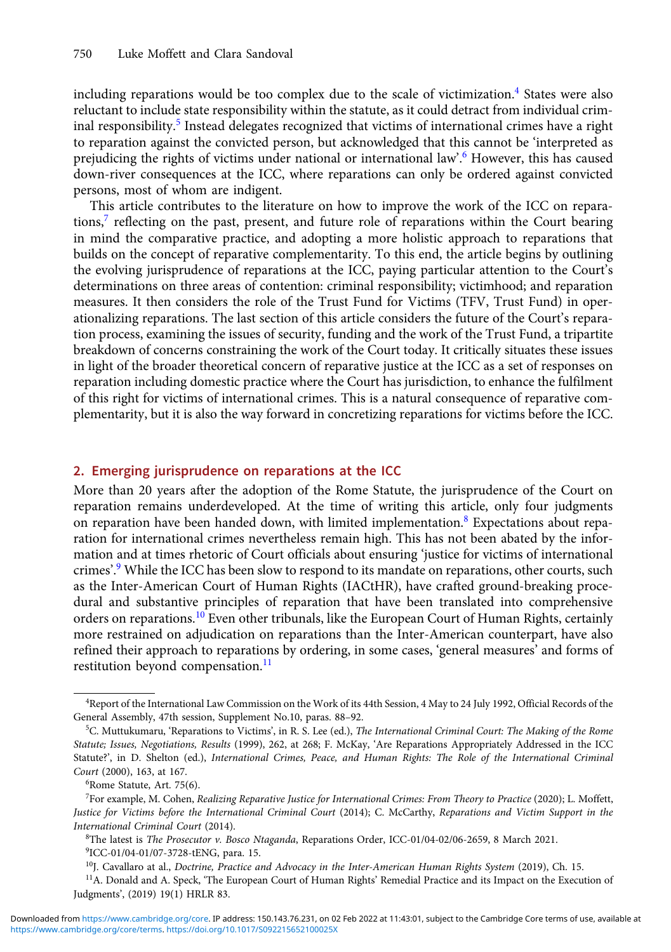including reparations would be too complex due to the scale of victimization.<sup>4</sup> States were also reluctant to include state responsibility within the statute, as it could detract from individual criminal responsibility.<sup>5</sup> Instead delegates recognized that victims of international crimes have a right to reparation against the convicted person, but acknowledged that this cannot be 'interpreted as prejudicing the rights of victims under national or international law'. <sup>6</sup> However, this has caused down-river consequences at the ICC, where reparations can only be ordered against convicted persons, most of whom are indigent.

This article contributes to the literature on how to improve the work of the ICC on reparations, $\bar{z}$  reflecting on the past, present, and future role of reparations within the Court bearing in mind the comparative practice, and adopting a more holistic approach to reparations that builds on the concept of reparative complementarity. To this end, the article begins by outlining the evolving jurisprudence of reparations at the ICC, paying particular attention to the Court's determinations on three areas of contention: criminal responsibility; victimhood; and reparation measures. It then considers the role of the Trust Fund for Victims (TFV, Trust Fund) in operationalizing reparations. The last section of this article considers the future of the Court's reparation process, examining the issues of security, funding and the work of the Trust Fund, a tripartite breakdown of concerns constraining the work of the Court today. It critically situates these issues in light of the broader theoretical concern of reparative justice at the ICC as a set of responses on reparation including domestic practice where the Court has jurisdiction, to enhance the fulfilment of this right for victims of international crimes. This is a natural consequence of reparative complementarity, but it is also the way forward in concretizing reparations for victims before the ICC.

#### 2. Emerging jurisprudence on reparations at the ICC

More than 20 years after the adoption of the Rome Statute, the jurisprudence of the Court on reparation remains underdeveloped. At the time of writing this article, only four judgments on reparation have been handed down, with limited implementation.<sup>8</sup> Expectations about reparation for international crimes nevertheless remain high. This has not been abated by the information and at times rhetoric of Court officials about ensuring 'justice for victims of international crimes'.<sup>9</sup> While the ICC has been slow to respond to its mandate on reparations, other courts, such as the Inter-American Court of Human Rights (IACtHR), have crafted ground-breaking procedural and substantive principles of reparation that have been translated into comprehensive orders on reparations.<sup>10</sup> Even other tribunals, like the European Court of Human Rights, certainly more restrained on adjudication on reparations than the Inter-American counterpart, have also refined their approach to reparations by ordering, in some cases, 'general measures' and forms of restitution beyond compensation.<sup>11</sup>

<sup>4</sup> Report of the International Law Commission on the Work of its 44th Session, 4 May to 24 July 1992, Official Records of the General Assembly, 47th session, Supplement No.10, paras. 88–92.

<sup>&</sup>lt;sup>5</sup>C. Muttukumaru, 'Reparations to Victims', in R. S. Lee (ed.), The International Criminal Court: The Making of the Rome Statute; Issues, Negotiations, Results (1999), 262, at 268; F. McKay, 'Are Reparations Appropriately Addressed in the ICC Statute?', in D. Shelton (ed.), International Crimes, Peace, and Human Rights: The Role of the International Criminal Court (2000), 163, at 167.

<sup>6</sup> Rome Statute, Art. 75(6).

<sup>7</sup> For example, M. Cohen, Realizing Reparative Justice for International Crimes: From Theory to Practice (2020); L. Moffett, Justice for Victims before the International Criminal Court (2014); C. McCarthy, Reparations and Victim Support in the International Criminal Court (2014).

<sup>8</sup> The latest is The Prosecutor v. Bosco Ntaganda, Reparations Order, ICC-01/04-02/06-2659, 8 March 2021.

<sup>9</sup> ICC-01/04-01/07-3728-tENG, para. 15.

 $10$ J. Cavallaro at al., Doctrine, Practice and Advocacy in the Inter-American Human Rights System (2019), Ch. 15.

<sup>&</sup>lt;sup>11</sup>A. Donald and A. Speck, 'The European Court of Human Rights' Remedial Practice and its Impact on the Execution of Judgments', (2019) 19(1) HRLR 83.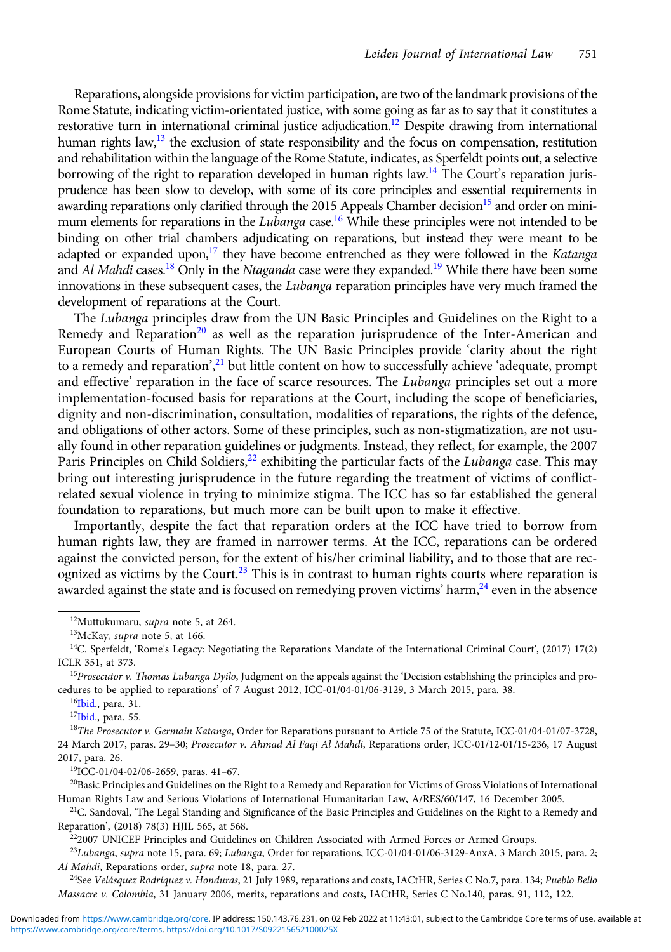Reparations, alongside provisions for victim participation, are two of the landmark provisions of the Rome Statute, indicating victim-orientated justice, with some going as far as to say that it constitutes a restorative turn in international criminal justice adjudication.<sup>12</sup> Despite drawing from international human rights law,<sup>13</sup> the exclusion of state responsibility and the focus on compensation, restitution and rehabilitation within the language of the Rome Statute, indicates, as Sperfeldt points out, a selective borrowing of the right to reparation developed in human rights law.<sup>14</sup> The Court's reparation jurisprudence has been slow to develop, with some of its core principles and essential requirements in awarding reparations only clarified through the 2015 Appeals Chamber decision<sup>15</sup> and order on minimum elements for reparations in the *Lubanga* case.<sup>16</sup> While these principles were not intended to be binding on other trial chambers adjudicating on reparations, but instead they were meant to be adapted or expanded upon,<sup>17</sup> they have become entrenched as they were followed in the Katanga and Al Mahdi cases.<sup>18</sup> Only in the Ntaganda case were they expanded.<sup>19</sup> While there have been some innovations in these subsequent cases, the Lubanga reparation principles have very much framed the development of reparations at the Court.

The Lubanga principles draw from the UN Basic Principles and Guidelines on the Right to a Remedy and Reparation<sup>20</sup> as well as the reparation jurisprudence of the Inter-American and European Courts of Human Rights. The UN Basic Principles provide 'clarity about the right to a remedy and reparation',<sup>21</sup> but little content on how to successfully achieve 'adequate, prompt and effective' reparation in the face of scarce resources. The Lubanga principles set out a more implementation-focused basis for reparations at the Court, including the scope of beneficiaries, dignity and non-discrimination, consultation, modalities of reparations, the rights of the defence, and obligations of other actors. Some of these principles, such as non-stigmatization, are not usually found in other reparation guidelines or judgments. Instead, they reflect, for example, the 2007 Paris Principles on Child Soldiers,<sup>22</sup> exhibiting the particular facts of the Lubanga case. This may bring out interesting jurisprudence in the future regarding the treatment of victims of conflictrelated sexual violence in trying to minimize stigma. The ICC has so far established the general foundation to reparations, but much more can be built upon to make it effective.

Importantly, despite the fact that reparation orders at the ICC have tried to borrow from human rights law, they are framed in narrower terms. At the ICC, reparations can be ordered against the convicted person, for the extent of his/her criminal liability, and to those that are recognized as victims by the Court.<sup>23</sup> This is in contrast to human rights courts where reparation is awarded against the state and is focused on remedying proven victims' harm, $^{24}$  even in the absence

19ICC-01/04-02/06-2659, paras. 41–67.

222007 UNICEF Principles and Guidelines on Children Associated with Armed Forces or Armed Groups.

 $^{23}$ Lubanga, supra note 15, para. 69; Lubanga, Order for reparations, ICC-01/04-01/06-3129-AnxA, 3 March 2015, para. 2; Al Mahdi, Reparations order, supra note 18, para. 27.

<sup>24</sup>See Velásquez Rodríquez v. Honduras, 21 July 1989, reparations and costs, IACtHR, Series C No.7, para. 134; Pueblo Bello Massacre v. Colombia, 31 January 2006, merits, reparations and costs, IACtHR, Series C No.140, paras. 91, 112, 122.

<sup>&</sup>lt;sup>12</sup>Muttukumaru, supra note 5, at 264.

<sup>13</sup>McKay, supra note 5, at 166.

 $14$ C. Sperfeldt, 'Rome's Legacy: Negotiating the Reparations Mandate of the International Criminal Court', (2017) 17(2) ICLR 351, at 373.

 $15$ Prosecutor v. Thomas Lubanga Dyilo, Judgment on the appeals against the 'Decision establishing the principles and procedures to be applied to reparations' of 7 August 2012, ICC-01/04-01/06-3129, 3 March 2015, para. 38.

<sup>&</sup>lt;sup>16</sup>Ibid., para. 31.

<sup>&</sup>lt;sup>17</sup>Ibid., para. 55.

<sup>&</sup>lt;sup>18</sup>The Prosecutor v. Germain Katanga, Order for Reparations pursuant to Article 75 of the Statute, ICC-01/04-01/07-3728, 24 March 2017, paras. 29-30; Prosecutor v. Ahmad Al Faqi Al Mahdi, Reparations order, ICC-01/12-01/15-236, 17 August 2017, para. 26.

 $^{20}$ Basic Principles and Guidelines on the Right to a Remedy and Reparation for Victims of Gross Violations of International Human Rights Law and Serious Violations of International Humanitarian Law, A/RES/60/147, 16 December 2005.

 $21C$ . Sandoval, 'The Legal Standing and Significance of the Basic Principles and Guidelines on the Right to a Remedy and Reparation', (2018) 78(3) HJIL 565, at 568.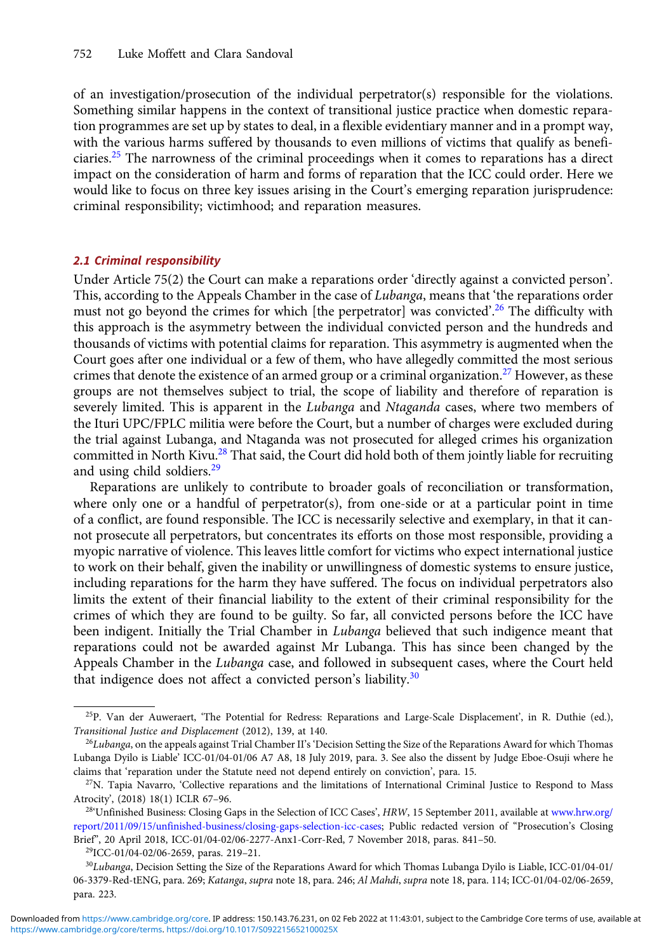of an investigation/prosecution of the individual perpetrator(s) responsible for the violations. Something similar happens in the context of transitional justice practice when domestic reparation programmes are set up by states to deal, in a flexible evidentiary manner and in a prompt way, with the various harms suffered by thousands to even millions of victims that qualify as beneficiaries.<sup>25</sup> The narrowness of the criminal proceedings when it comes to reparations has a direct impact on the consideration of harm and forms of reparation that the ICC could order. Here we would like to focus on three key issues arising in the Court's emerging reparation jurisprudence: criminal responsibility; victimhood; and reparation measures.

#### 2.1 Criminal responsibility

Under Article 75(2) the Court can make a reparations order 'directly against a convicted person'. This, according to the Appeals Chamber in the case of Lubanga, means that 'the reparations order must not go beyond the crimes for which [the perpetrator] was convicted'.<sup>26</sup> The difficulty with this approach is the asymmetry between the individual convicted person and the hundreds and thousands of victims with potential claims for reparation. This asymmetry is augmented when the Court goes after one individual or a few of them, who have allegedly committed the most serious crimes that denote the existence of an armed group or a criminal organization.<sup>27</sup> However, as these groups are not themselves subject to trial, the scope of liability and therefore of reparation is severely limited. This is apparent in the Lubanga and Ntaganda cases, where two members of the Ituri UPC/FPLC militia were before the Court, but a number of charges were excluded during the trial against Lubanga, and Ntaganda was not prosecuted for alleged crimes his organization committed in North Kivu.<sup>28</sup> That said, the Court did hold both of them jointly liable for recruiting and using child soldiers.<sup>29</sup>

Reparations are unlikely to contribute to broader goals of reconciliation or transformation, where only one or a handful of perpetrator(s), from one-side or at a particular point in time of a conflict, are found responsible. The ICC is necessarily selective and exemplary, in that it cannot prosecute all perpetrators, but concentrates its efforts on those most responsible, providing a myopic narrative of violence. This leaves little comfort for victims who expect international justice to work on their behalf, given the inability or unwillingness of domestic systems to ensure justice, including reparations for the harm they have suffered. The focus on individual perpetrators also limits the extent of their financial liability to the extent of their criminal responsibility for the crimes of which they are found to be guilty. So far, all convicted persons before the ICC have been indigent. Initially the Trial Chamber in *Lubanga* believed that such indigence meant that reparations could not be awarded against Mr Lubanga. This has since been changed by the Appeals Chamber in the Lubanga case, and followed in subsequent cases, where the Court held that indigence does not affect a convicted person's liability. $30$ 

<sup>&</sup>lt;sup>25</sup>P. Van der Auweraert, 'The Potential for Redress: Reparations and Large-Scale Displacement', in R. Duthie (ed.), Transitional Justice and Displacement (2012), 139, at 140.

 $^{26}Lubanga$ , on the appeals against Trial Chamber II's 'Decision Setting the Size of the Reparations Award for which Thomas Lubanga Dyilo is Liable' ICC-01/04-01/06 A7 A8, 18 July 2019, para. 3. See also the dissent by Judge Eboe-Osuji where he claims that 'reparation under the Statute need not depend entirely on conviction', para. 15.

 $27$ N. Tapia Navarro, 'Collective reparations and the limitations of International Criminal Justice to Respond to Mass Atrocity', (2018) 18(1) ICLR 67–96.

<sup>&</sup>lt;sup>28</sup>'Unfinished Business: Closing Gaps in the Selection of ICC Cases', HRW, 15 September 2011, available at [www.hrw.org/](http://www.hrw.org/report/2011/09/15/unfinished-business/closing-gaps-selection-icc-cases) [report/2011/09/15/unfinished-business/closing-gaps-selection-icc-cases;](http://www.hrw.org/report/2011/09/15/unfinished-business/closing-gaps-selection-icc-cases) Public redacted version of "Prosecution's Closing Brief", 20 April 2018, ICC-01/04-02/06-2277-Anx1-Corr-Red, 7 November 2018, paras. 841–50.

 ${}^{29}$ ICC-01/04-02/06-2659, paras. 219-21.

 $30Lubanga$ , Decision Setting the Size of the Reparations Award for which Thomas Lubanga Dyilo is Liable, ICC-01/04-01/ 06-3379-Red-tENG, para. 269; Katanga, supra note 18, para. 246; Al Mahdi, supra note 18, para. 114; ICC-01/04-02/06-2659, para. 223.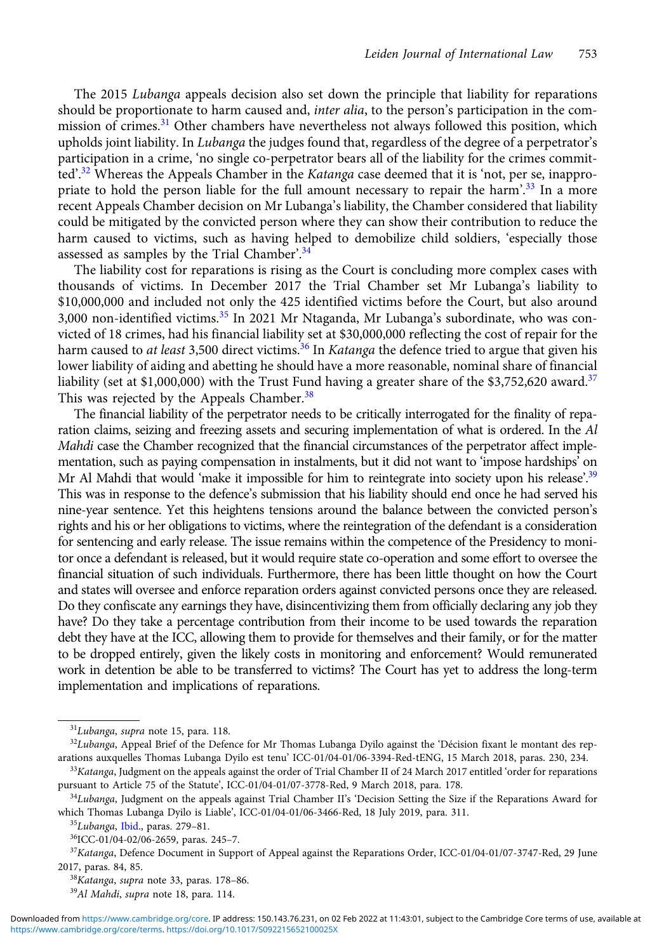The 2015 Lubanga appeals decision also set down the principle that liability for reparations should be proportionate to harm caused and, inter alia, to the person's participation in the commission of crimes.<sup>31</sup> Other chambers have nevertheless not always followed this position, which upholds joint liability. In *Lubanga* the judges found that, regardless of the degree of a perpetrator's participation in a crime, 'no single co-perpetrator bears all of the liability for the crimes committed'.<sup>32</sup> Whereas the Appeals Chamber in the *Katanga* case deemed that it is 'not, per se, inappropriate to hold the person liable for the full amount necessary to repair the harm'.<sup>33</sup> In a more recent Appeals Chamber decision on Mr Lubanga's liability, the Chamber considered that liability could be mitigated by the convicted person where they can show their contribution to reduce the harm caused to victims, such as having helped to demobilize child soldiers, 'especially those assessed as samples by the Trial Chamber'.<sup>34</sup>

The liability cost for reparations is rising as the Court is concluding more complex cases with thousands of victims. In December 2017 the Trial Chamber set Mr Lubanga's liability to \$10,000,000 and included not only the 425 identified victims before the Court, but also around 3,000 non-identified victims.<sup>35</sup> In 2021 Mr Ntaganda, Mr Lubanga's subordinate, who was convicted of 18 crimes, had his financial liability set at \$30,000,000 reflecting the cost of repair for the harm caused to *at least* 3,500 direct victims.<sup>36</sup> In Katanga the defence tried to argue that given his lower liability of aiding and abetting he should have a more reasonable, nominal share of financial liability (set at \$1,000,000) with the Trust Fund having a greater share of the \$3,752,620 award.<sup>37</sup> This was rejected by the Appeals Chamber.<sup>38</sup>

The financial liability of the perpetrator needs to be critically interrogated for the finality of reparation claims, seizing and freezing assets and securing implementation of what is ordered. In the Al Mahdi case the Chamber recognized that the financial circumstances of the perpetrator affect implementation, such as paying compensation in instalments, but it did not want to 'impose hardships' on Mr Al Mahdi that would 'make it impossible for him to reintegrate into society upon his release'.<sup>39</sup> This was in response to the defence's submission that his liability should end once he had served his nine-year sentence. Yet this heightens tensions around the balance between the convicted person's rights and his or her obligations to victims, where the reintegration of the defendant is a consideration for sentencing and early release. The issue remains within the competence of the Presidency to monitor once a defendant is released, but it would require state co-operation and some effort to oversee the financial situation of such individuals. Furthermore, there has been little thought on how the Court and states will oversee and enforce reparation orders against convicted persons once they are released. Do they confiscate any earnings they have, disincentivizing them from officially declaring any job they have? Do they take a percentage contribution from their income to be used towards the reparation debt they have at the ICC, allowing them to provide for themselves and their family, or for the matter to be dropped entirely, given the likely costs in monitoring and enforcement? Would remunerated work in detention be able to be transferred to victims? The Court has yet to address the long-term implementation and implications of reparations.

<sup>31</sup>Lubanga, supra note 15, para. 118.

<sup>&</sup>lt;sup>32</sup>Lubanga, Appeal Brief of the Defence for Mr Thomas Lubanga Dyilo against the 'Décision fixant le montant des reparations auxquelles Thomas Lubanga Dyilo est tenu' ICC-01/04-01/06-3394-Red-tENG, 15 March 2018, paras. 230, 234.

<sup>&</sup>lt;sup>33</sup>Katanga, Judgment on the appeals against the order of Trial Chamber II of 24 March 2017 entitled 'order for reparations pursuant to Article 75 of the Statute', ICC-01/04-01/07-3778-Red, 9 March 2018, para. 178.

<sup>&</sup>lt;sup>34</sup>Lubanga, Judgment on the appeals against Trial Chamber II's 'Decision Setting the Size if the Reparations Award for which Thomas Lubanga Dyilo is Liable', ICC-01/04-01/06-3466-Red, 18 July 2019, para. 311.

<sup>35</sup>Lubanga, Ibid., paras. 279–81.

<sup>36</sup>ICC-01/04-02/06-2659, paras. 245–7.

 $37$ Katanga, Defence Document in Support of Appeal against the Reparations Order, ICC-01/04-01/07-3747-Red, 29 June 2017, paras. 84, 85.

<sup>38</sup>Katanga, supra note 33, paras. 178–86.

<sup>&</sup>lt;sup>39</sup>Al Mahdi, supra note 18, para. 114.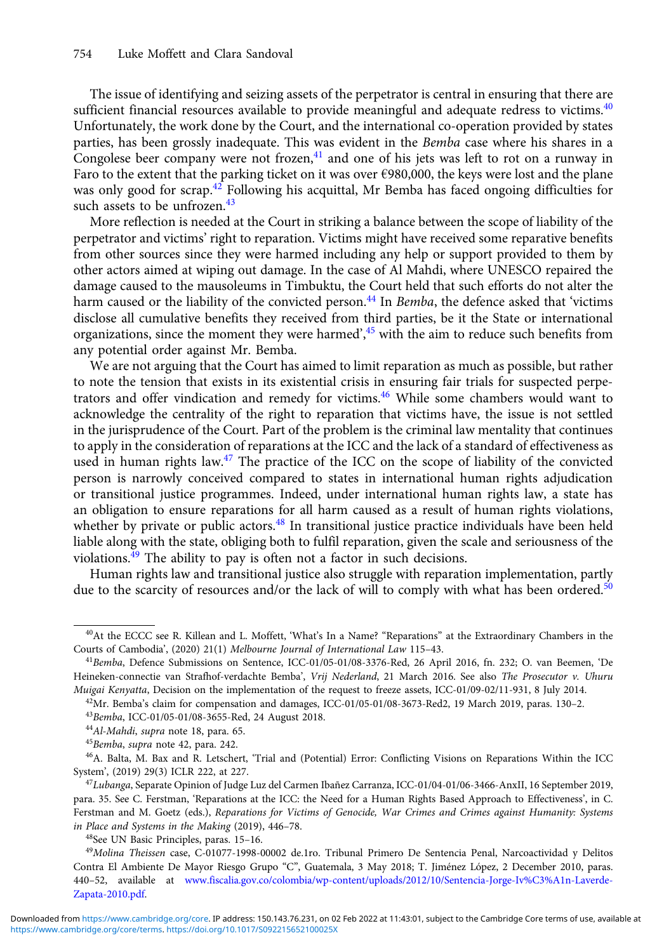The issue of identifying and seizing assets of the perpetrator is central in ensuring that there are sufficient financial resources available to provide meaningful and adequate redress to victims.<sup>40</sup> Unfortunately, the work done by the Court, and the international co-operation provided by states parties, has been grossly inadequate. This was evident in the *Bemba* case where his shares in a Congolese beer company were not frozen, $4<sup>1</sup>$  and one of his jets was left to rot on a runway in Faro to the extent that the parking ticket on it was over €980,000, the keys were lost and the plane was only good for scrap.<sup>42</sup> Following his acquittal, Mr Bemba has faced ongoing difficulties for such assets to be unfrozen.<sup>43</sup>

More reflection is needed at the Court in striking a balance between the scope of liability of the perpetrator and victims' right to reparation. Victims might have received some reparative benefits from other sources since they were harmed including any help or support provided to them by other actors aimed at wiping out damage. In the case of Al Mahdi, where UNESCO repaired the damage caused to the mausoleums in Timbuktu, the Court held that such efforts do not alter the harm caused or the liability of the convicted person.<sup>44</sup> In Bemba, the defence asked that 'victims disclose all cumulative benefits they received from third parties, be it the State or international organizations, since the moment they were harmed',<sup>45</sup> with the aim to reduce such benefits from any potential order against Mr. Bemba.

We are not arguing that the Court has aimed to limit reparation as much as possible, but rather to note the tension that exists in its existential crisis in ensuring fair trials for suspected perpetrators and offer vindication and remedy for victims.<sup>46</sup> While some chambers would want to acknowledge the centrality of the right to reparation that victims have, the issue is not settled in the jurisprudence of the Court. Part of the problem is the criminal law mentality that continues to apply in the consideration of reparations at the ICC and the lack of a standard of effectiveness as used in human rights law. $47$  The practice of the ICC on the scope of liability of the convicted person is narrowly conceived compared to states in international human rights adjudication or transitional justice programmes. Indeed, under international human rights law, a state has an obligation to ensure reparations for all harm caused as a result of human rights violations, whether by private or public actors.<sup>48</sup> In transitional justice practice individuals have been held liable along with the state, obliging both to fulfil reparation, given the scale and seriousness of the violations.<sup>49</sup> The ability to pay is often not a factor in such decisions.

Human rights law and transitional justice also struggle with reparation implementation, partly due to the scarcity of resources and/or the lack of will to comply with what has been ordered.<sup>[50](#page-6-0)</sup>

 $42$ Mr. Bemba's claim for compensation and damages, ICC-01/05-01/08-3673-Red2, 19 March 2019, paras. 130-2.

<sup>43</sup>Bemba, ICC-01/05-01/08-3655-Red, 24 August 2018.

<sup>40</sup>At the ECCC see R. Killean and L. Moffett, 'What's In a Name? "Reparations" at the Extraordinary Chambers in the Courts of Cambodia', (2020) 21(1) Melbourne Journal of International Law 115–43.

<sup>&</sup>lt;sup>41</sup>Bemba, Defence Submissions on Sentence, ICC-01/05-01/08-3376-Red, 26 April 2016, fn. 232; O. van Beemen, 'De Heineken-connectie van Strafhof-verdachte Bemba', Vrij Nederland, 21 March 2016. See also The Prosecutor v. Uhuru Muigai Kenyatta, Decision on the implementation of the request to freeze assets, ICC-01/09-02/11-931, 8 July 2014.

<sup>&</sup>lt;sup>44</sup>Al-Mahdi, supra note 18, para. 65.

<sup>45</sup>Bemba, supra note 42, para. 242.

<sup>46</sup>A. Balta, M. Bax and R. Letschert, 'Trial and (Potential) Error: Conflicting Visions on Reparations Within the ICC System', (2019) 29(3) ICLR 222, at 227.

<sup>47</sup>Lubanga, Separate Opinion of Judge Luz del Carmen Ibanez Carranza, ICC-01/04-01/06-3466-AnxII, 16 September 2019, ˜ para. 35. See C. Ferstman, 'Reparations at the ICC: the Need for a Human Rights Based Approach to Effectiveness', in C. Ferstman and M. Goetz (eds.), Reparations for Victims of Genocide, War Crimes and Crimes against Humanity: Systems in Place and Systems in the Making (2019), 446–78.

<sup>48</sup>See UN Basic Principles, paras. 15–16.

<sup>&</sup>lt;sup>49</sup>Molina Theissen case, C-01077-1998-00002 de.1ro. Tribunal Primero De Sentencia Penal, Narcoactividad y Delitos Contra El Ambiente De Mayor Riesgo Grupo "C", Guatemala, 3 May 2018; T. Jiménez López, 2 December 2010, paras. 440–52, available at [www.fiscalia.gov.co/colombia/wp-content/uploads/2012/10/Sentencia-Jorge-Iv%C3%A1n-Laverde-](http://www.fiscalia.gov.co/colombia/wp-content/uploads/2012/10/Sentencia-Jorge-Iv%C3%A1n-Laverde-Zapata-2010.pdf)[Zapata-2010.pdf](http://www.fiscalia.gov.co/colombia/wp-content/uploads/2012/10/Sentencia-Jorge-Iv%C3%A1n-Laverde-Zapata-2010.pdf).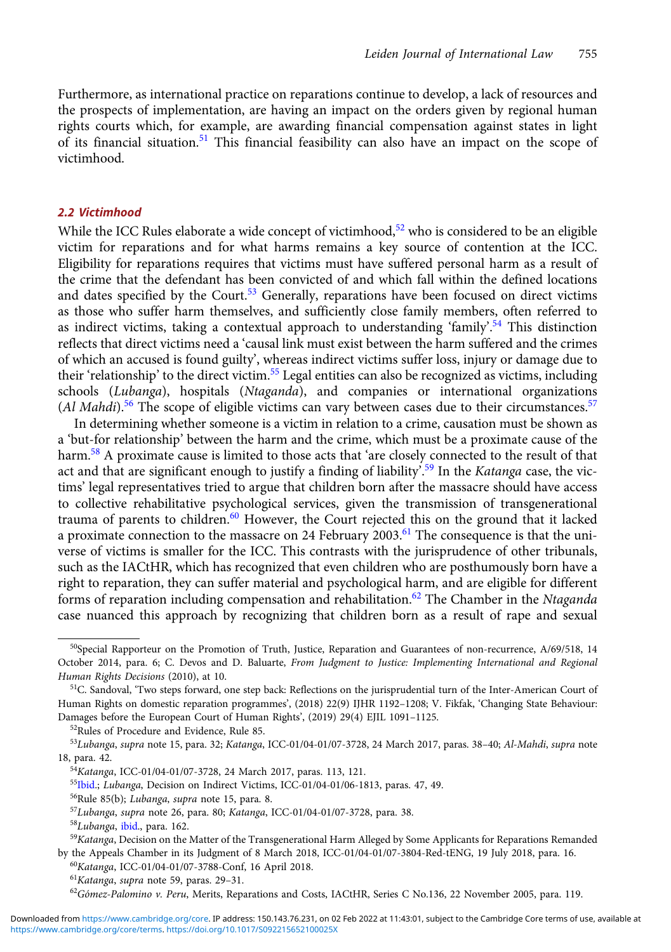<span id="page-6-0"></span>Furthermore, as international practice on reparations continue to develop, a lack of resources and the prospects of implementation, are having an impact on the orders given by regional human rights courts which, for example, are awarding financial compensation against states in light of its financial situation.<sup>51</sup> This financial feasibility can also have an impact on the scope of victimhood.

#### 2.2 Victimhood

While the ICC Rules elaborate a wide concept of victimhood,<sup>52</sup> who is considered to be an eligible victim for reparations and for what harms remains a key source of contention at the ICC. Eligibility for reparations requires that victims must have suffered personal harm as a result of the crime that the defendant has been convicted of and which fall within the defined locations and dates specified by the Court.<sup>53</sup> Generally, reparations have been focused on direct victims as those who suffer harm themselves, and sufficiently close family members, often referred to as indirect victims, taking a contextual approach to understanding 'family'.<sup>54</sup> This distinction reflects that direct victims need a 'causal link must exist between the harm suffered and the crimes of which an accused is found guilty', whereas indirect victims suffer loss, injury or damage due to their 'relationship' to the direct victim.<sup>55</sup> Legal entities can also be recognized as victims, including schools (Lubanga), hospitals (Ntaganda), and companies or international organizations (Al Mahdi).<sup>56</sup> The scope of eligible victims can vary between cases due to their circumstances.<sup>57</sup>

In determining whether someone is a victim in relation to a crime, causation must be shown as a 'but-for relationship' between the harm and the crime, which must be a proximate cause of the harm.<sup>58</sup> A proximate cause is limited to those acts that 'are closely connected to the result of that act and that are significant enough to justify a finding of liability'.<sup>59</sup> In the Katanga case, the victims' legal representatives tried to argue that children born after the massacre should have access to collective rehabilitative psychological services, given the transmission of transgenerational trauma of parents to children.<sup>60</sup> However, the Court rejected this on the ground that it lacked a proximate connection to the massacre on 24 February 2003.<sup>61</sup> The consequence is that the universe of victims is smaller for the ICC. This contrasts with the jurisprudence of other tribunals, such as the IACtHR, which has recognized that even children who are posthumously born have a right to reparation, they can suffer material and psychological harm, and are eligible for different forms of reparation including compensation and rehabilitation.<sup>62</sup> The Chamber in the Ntaganda case nuanced this approach by recognizing that children born as a result of rape and sexual

 $50$ Special Rapporteur on the Promotion of Truth, Justice, Reparation and Guarantees of non-recurrence, A/69/518, 14 October 2014, para. 6; C. Devos and D. Baluarte, From Judgment to Justice: Implementing International and Regional Human Rights Decisions (2010), at 10.

<sup>&</sup>lt;sup>51</sup>C. Sandoval, 'Two steps forward, one step back: Reflections on the jurisprudential turn of the Inter-American Court of Human Rights on domestic reparation programmes', (2018) 22(9) IJHR 1192–1208; V. Fikfak, 'Changing State Behaviour: Damages before the European Court of Human Rights', (2019) 29(4) EJIL 1091–1125.

<sup>52</sup>Rules of Procedure and Evidence, Rule 85.

<sup>53</sup>Lubanga, supra note 15, para. 32; Katanga, ICC-01/04-01/07-3728, 24 March 2017, paras. 38–40; Al-Mahdi, supra note 18, para. 42.

<sup>54</sup>Katanga, ICC-01/04-01/07-3728, 24 March 2017, paras. 113, 121.

<sup>&</sup>lt;sup>55</sup>Ibid.; Lubanga, Decision on Indirect Victims, ICC-01/04-01/06-1813, paras. 47, 49.

<sup>56</sup>Rule 85(b); Lubanga, supra note 15, para. 8.

<sup>57</sup>Lubanga, supra note 26, para. 80; Katanga, ICC-01/04-01/07-3728, para. 38.

<sup>58</sup>Lubanga, ibid., para. 162.

<sup>&</sup>lt;sup>59</sup>Katanga, Decision on the Matter of the Transgenerational Harm Alleged by Some Applicants for Reparations Remanded by the Appeals Chamber in its Judgment of 8 March 2018, ICC-01/04-01/07-3804-Red-tENG, 19 July 2018, para. 16.

<sup>60</sup>Katanga, ICC-01/04-01/07-3788-Conf, 16 April 2018.

<sup>61</sup>Katanga, supra note 59, paras. 29–31.

 $^{62}$ Gómez-Palomino v. Peru, Merits, Reparations and Costs, IACtHR, Series C No.136, 22 November 2005, para. 119.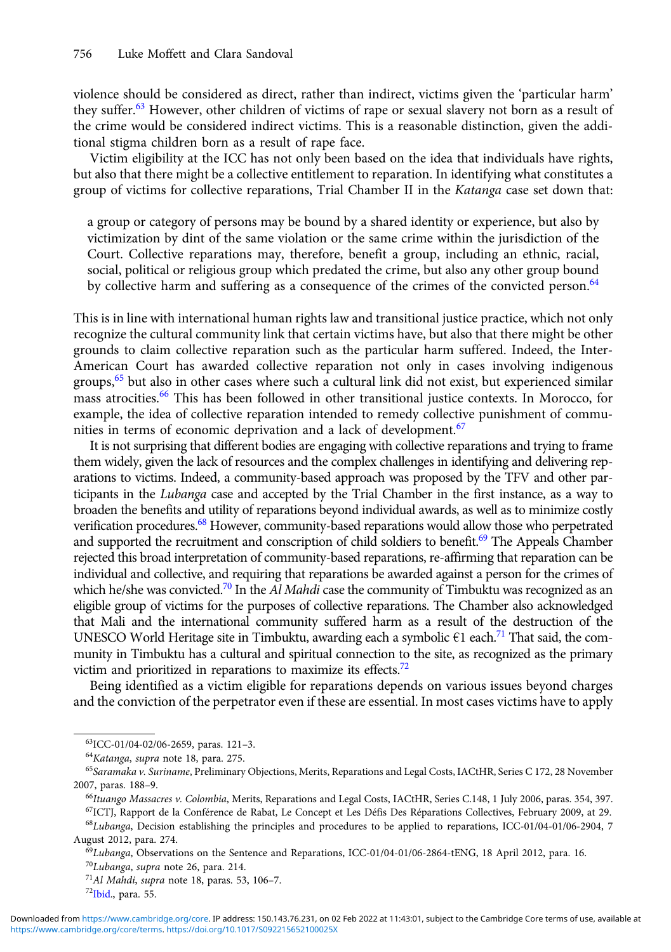violence should be considered as direct, rather than indirect, victims given the 'particular harm' they suffer.<sup>63</sup> However, other children of victims of rape or sexual slavery not born as a result of the crime would be considered indirect victims. This is a reasonable distinction, given the additional stigma children born as a result of rape face.

Victim eligibility at the ICC has not only been based on the idea that individuals have rights, but also that there might be a collective entitlement to reparation. In identifying what constitutes a group of victims for collective reparations, Trial Chamber II in the Katanga case set down that:

a group or category of persons may be bound by a shared identity or experience, but also by victimization by dint of the same violation or the same crime within the jurisdiction of the Court. Collective reparations may, therefore, benefit a group, including an ethnic, racial, social, political or religious group which predated the crime, but also any other group bound by collective harm and suffering as a consequence of the crimes of the convicted person.<sup>64</sup>

This is in line with international human rights law and transitional justice practice, which not only recognize the cultural community link that certain victims have, but also that there might be other grounds to claim collective reparation such as the particular harm suffered. Indeed, the Inter-American Court has awarded collective reparation not only in cases involving indigenous groups,<sup>65</sup> but also in other cases where such a cultural link did not exist, but experienced similar mass atrocities.<sup>66</sup> This has been followed in other transitional justice contexts. In Morocco, for example, the idea of collective reparation intended to remedy collective punishment of communities in terms of economic deprivation and a lack of development.<sup>67</sup>

It is not surprising that different bodies are engaging with collective reparations and trying to frame them widely, given the lack of resources and the complex challenges in identifying and delivering reparations to victims. Indeed, a community-based approach was proposed by the TFV and other participants in the Lubanga case and accepted by the Trial Chamber in the first instance, as a way to broaden the benefits and utility of reparations beyond individual awards, as well as to minimize costly verification procedures.<sup>68</sup> However, community-based reparations would allow those who perpetrated and supported the recruitment and conscription of child soldiers to benefit.<sup>69</sup> The Appeals Chamber rejected this broad interpretation of community-based reparations, re-affirming that reparation can be individual and collective, and requiring that reparations be awarded against a person for the crimes of which he/she was convicted.<sup>70</sup> In the Al Mahdi case the community of Timbuktu was recognized as an eligible group of victims for the purposes of collective reparations. The Chamber also acknowledged that Mali and the international community suffered harm as a result of the destruction of the UNESCO World Heritage site in Timbuktu, awarding each a symbolic  $\epsilon$ 1 each.<sup>71</sup> That said, the community in Timbuktu has a cultural and spiritual connection to the site, as recognized as the primary victim and prioritized in reparations to maximize its effects.<sup>72</sup>

Being identified as a victim eligible for reparations depends on various issues beyond charges and the conviction of the perpetrator even if these are essential. In most cases victims have to apply

67ICTJ, Rapport de la Conférence de Rabat, Le Concept et Les Défis Des Réparations Collectives, February 2009, at 29.  $68Lubanga$ , Decision establishing the principles and procedures to be applied to reparations, ICC-01/04-01/06-2904, 7 August 2012, para. 274.

<sup>63</sup>ICC-01/04-02/06-2659, paras. 121–3.

<sup>64</sup>Katanga, supra note 18, para. 275.

<sup>&</sup>lt;sup>65</sup>Saramaka v. Suriname, Preliminary Objections, Merits, Reparations and Legal Costs, IACtHR, Series C 172, 28 November 2007, paras. 188–9.

<sup>&</sup>lt;sup>66</sup>Ituango Massacres v. Colombia, Merits, Reparations and Legal Costs, IACtHR, Series C.148, 1 July 2006, paras. 354, 397.

 $^{69}$ Lubanga, Observations on the Sentence and Reparations, ICC-01/04-01/06-2864-tENG, 18 April 2012, para. 16.

<sup>70</sup>Lubanga, supra note 26, para. 214.

<sup>71</sup>Al Mahdi, supra note 18, paras. 53, 106–7.

<sup>72</sup>Ibid., para. 55.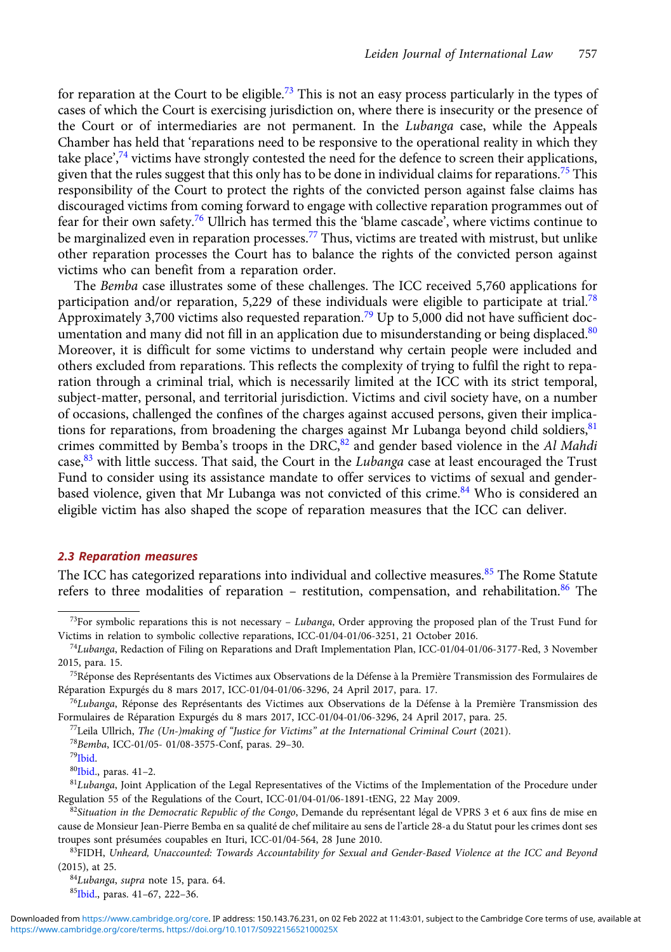for reparation at the Court to be eligible.<sup>73</sup> This is not an easy process particularly in the types of cases of which the Court is exercising jurisdiction on, where there is insecurity or the presence of the Court or of intermediaries are not permanent. In the Lubanga case, while the Appeals Chamber has held that 'reparations need to be responsive to the operational reality in which they take place',<sup>74</sup> victims have strongly contested the need for the defence to screen their applications, given that the rules suggest that this only has to be done in individual claims for reparations.<sup>75</sup> This responsibility of the Court to protect the rights of the convicted person against false claims has discouraged victims from coming forward to engage with collective reparation programmes out of fear for their own safety.<sup>76</sup> Ullrich has termed this the 'blame cascade', where victims continue to be marginalized even in reparation processes.<sup>77</sup> Thus, victims are treated with mistrust, but unlike other reparation processes the Court has to balance the rights of the convicted person against victims who can benefit from a reparation order.

The Bemba case illustrates some of these challenges. The ICC received 5,760 applications for participation and/or reparation, 5,229 of these individuals were eligible to participate at trial.<sup>78</sup> Approximately 3,700 victims also requested reparation.<sup>79</sup> Up to 5,000 did not have sufficient documentation and many did not fill in an application due to misunderstanding or being displaced.<sup>80</sup> Moreover, it is difficult for some victims to understand why certain people were included and others excluded from reparations. This reflects the complexity of trying to fulfil the right to reparation through a criminal trial, which is necessarily limited at the ICC with its strict temporal, subject-matter, personal, and territorial jurisdiction. Victims and civil society have, on a number of occasions, challenged the confines of the charges against accused persons, given their implications for reparations, from broadening the charges against Mr Lubanga beyond child soldiers,  $81$ crimes committed by Bemba's troops in the DRC, $82$  and gender based violence in the Al Mahdi case, $83$  with little success. That said, the Court in the Lubanga case at least encouraged the Trust Fund to consider using its assistance mandate to offer services to victims of sexual and genderbased violence, given that Mr Lubanga was not convicted of this crime.<sup>84</sup> Who is considered an eligible victim has also shaped the scope of reparation measures that the ICC can deliver.

#### 2.3 Reparation measures

The ICC has categorized reparations into individual and collective measures.<sup>85</sup> The Rome Statute refers to three modalities of reparation – restitution, compensation, and rehabilitation.<sup>[86](#page-9-0)</sup> The

<sup>&</sup>lt;sup>73</sup>For symbolic reparations this is not necessary – Lubanga, Order approving the proposed plan of the Trust Fund for Victims in relation to symbolic collective reparations, ICC-01/04-01/06-3251, 21 October 2016.

<sup>74</sup>Lubanga, Redaction of Filing on Reparations and Draft Implementation Plan, ICC-01/04-01/06-3177-Red, 3 November 2015, para. 15.

<sup>75</sup>Réponse des Représentants des Victimes aux Observations de la Défense à la Première Transmission des Formulaires de Réparation Expurgés du 8 mars 2017, ICC-01/04-01/06-3296, 24 April 2017, para. 17.

<sup>76</sup>Lubanga, Réponse des Représentants des Victimes aux Observations de la Défense à la Première Transmission des Formulaires de Réparation Expurgés du 8 mars 2017, ICC-01/04-01/06-3296, 24 April 2017, para. 25.

 $^{77}$ Leila Ullrich, The (Un-)making of "Justice for Victims" at the International Criminal Court (2021).

<sup>78</sup>Bemba, ICC-01/05- 01/08-3575-Conf, paras. 29–30.

<sup>79</sup>Ibid.

<sup>80</sup>Ibid., paras. 41–2.

<sup>&</sup>lt;sup>81</sup>Lubanga, Joint Application of the Legal Representatives of the Victims of the Implementation of the Procedure under Regulation 55 of the Regulations of the Court, ICC-01/04-01/06-1891-tENG, 22 May 2009.

 $82$ Situation in the Democratic Republic of the Congo, Demande du représentant légal de VPRS 3 et 6 aux fins de mise en cause de Monsieur Jean-Pierre Bemba en sa qualité de chef militaire au sens de l'article 28-a du Statut pour les crimes dont ses troupes sont présumées coupables en Ituri, ICC-01/04-564, 28 June 2010.

<sup>&</sup>lt;sup>83</sup>FIDH, Unheard, Unaccounted: Towards Accountability for Sexual and Gender-Based Violence at the ICC and Beyond (2015), at 25.

<sup>84</sup>Lubanga, supra note 15, para. 64.

<sup>85</sup>Ibid., paras. 41–67, 222–36.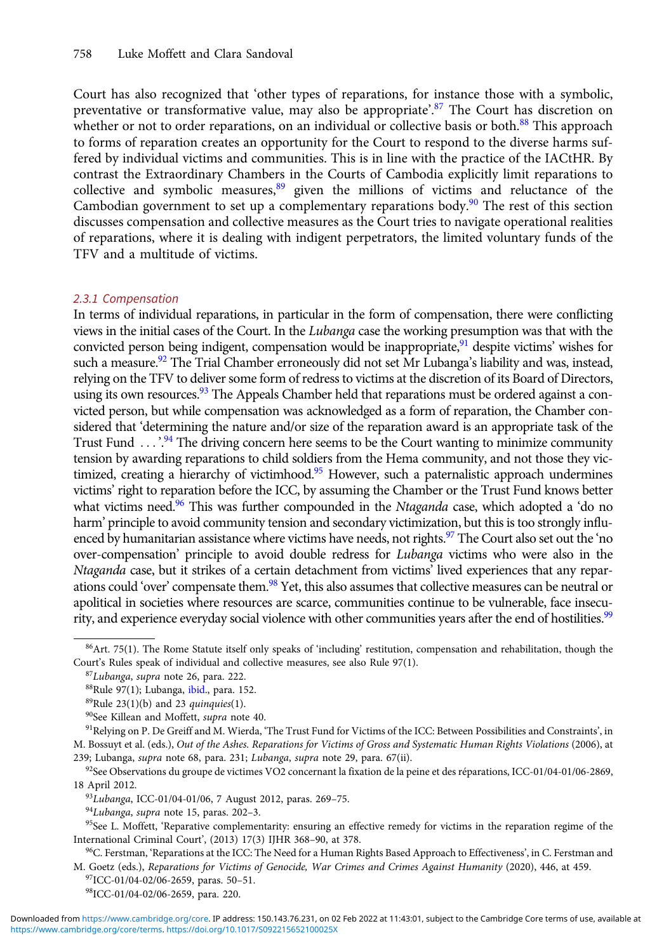<span id="page-9-0"></span>Court has also recognized that 'other types of reparations, for instance those with a symbolic, preventative or transformative value, may also be appropriate'.<sup>87</sup> The Court has discretion on whether or not to order reparations, on an individual or collective basis or both.<sup>88</sup> This approach to forms of reparation creates an opportunity for the Court to respond to the diverse harms suffered by individual victims and communities. This is in line with the practice of the IACtHR. By contrast the Extraordinary Chambers in the Courts of Cambodia explicitly limit reparations to collective and symbolic measures, $89$  given the millions of victims and reluctance of the Cambodian government to set up a complementary reparations body.<sup>90</sup> The rest of this section discusses compensation and collective measures as the Court tries to navigate operational realities of reparations, where it is dealing with indigent perpetrators, the limited voluntary funds of the TFV and a multitude of victims.

#### 2.3.1 Compensation

In terms of individual reparations, in particular in the form of compensation, there were conflicting views in the initial cases of the Court. In the Lubanga case the working presumption was that with the convicted person being indigent, compensation would be inappropriate, $91$  despite victims' wishes for such a measure.<sup>92</sup> The Trial Chamber erroneously did not set Mr Lubanga's liability and was, instead, relying on the TFV to deliver some form of redress to victims at the discretion of its Board of Directors, using its own resources.<sup>93</sup> The Appeals Chamber held that reparations must be ordered against a convicted person, but while compensation was acknowledged as a form of reparation, the Chamber considered that 'determining the nature and/or size of the reparation award is an appropriate task of the Trust Fund ...'.<sup>94</sup> The driving concern here seems to be the Court wanting to minimize community tension by awarding reparations to child soldiers from the Hema community, and not those they victimized, creating a hierarchy of victimhood.<sup>95</sup> However, such a paternalistic approach undermines victims' right to reparation before the ICC, by assuming the Chamber or the Trust Fund knows better what victims need.<sup>96</sup> This was further compounded in the *Ntaganda* case, which adopted a 'do no harm' principle to avoid community tension and secondary victimization, but this is too strongly influenced by humanitarian assistance where victims have needs, not rights.<sup>97</sup> The Court also set out the 'no over-compensation' principle to avoid double redress for Lubanga victims who were also in the Ntaganda case, but it strikes of a certain detachment from victims' lived experiences that any reparations could 'over' compensate them.<sup>98</sup> Yet, this also assumes that collective measures can be neutral or apolitical in societies where resources are scarce, communities continue to be vulnerable, face insecurity, and experience everyday social violence with other communities years after the end of hostilities.<sup>99</sup>

 $86$ Art. 75(1). The Rome Statute itself only speaks of 'including' restitution, compensation and rehabilitation, though the Court's Rules speak of individual and collective measures, see also Rule 97(1).

<sup>87</sup>Lubanga, supra note 26, para. 222.

<sup>88</sup>Rule 97(1); Lubanga, ibid., para. 152.

 $89$ Rule 23(1)(b) and 23 quinquies(1).

<sup>90</sup>See Killean and Moffett, supra note 40.

<sup>&</sup>lt;sup>91</sup>Relying on P. De Greiff and M. Wierda, 'The Trust Fund for Victims of the ICC: Between Possibilities and Constraints', in M. Bossuyt et al. (eds.), Out of the Ashes. Reparations for Victims of Gross and Systematic Human Rights Violations (2006), at 239; Lubanga, supra note 68, para. 231; Lubanga, supra note 29, para. 67(ii).

<sup>92</sup>See Observations du groupe de victimes VO2 concernant la fixation de la peine et des réparations, ICC-01/04-01/06-2869, 18 April 2012.

<sup>93</sup>Lubanga, ICC-01/04-01/06, 7 August 2012, paras. 269–75.

<sup>&</sup>lt;sup>94</sup>Lubanga, supra note 15, paras. 202-3.

<sup>&</sup>lt;sup>95</sup>See L. Moffett, 'Reparative complementarity: ensuring an effective remedy for victims in the reparation regime of the International Criminal Court', (2013) 17(3) IJHR 368–90, at 378.

<sup>&</sup>lt;sup>96</sup>C. Ferstman, 'Reparations at the ICC: The Need for a Human Rights Based Approach to Effectiveness', in C. Ferstman and M. Goetz (eds.), Reparations for Victims of Genocide, War Crimes and Crimes Against Humanity (2020), 446, at 459.

<sup>97</sup>ICC-01/04-02/06-2659, paras. 50–51.

<sup>98</sup>ICC-01/04-02/06-2659, para. 220.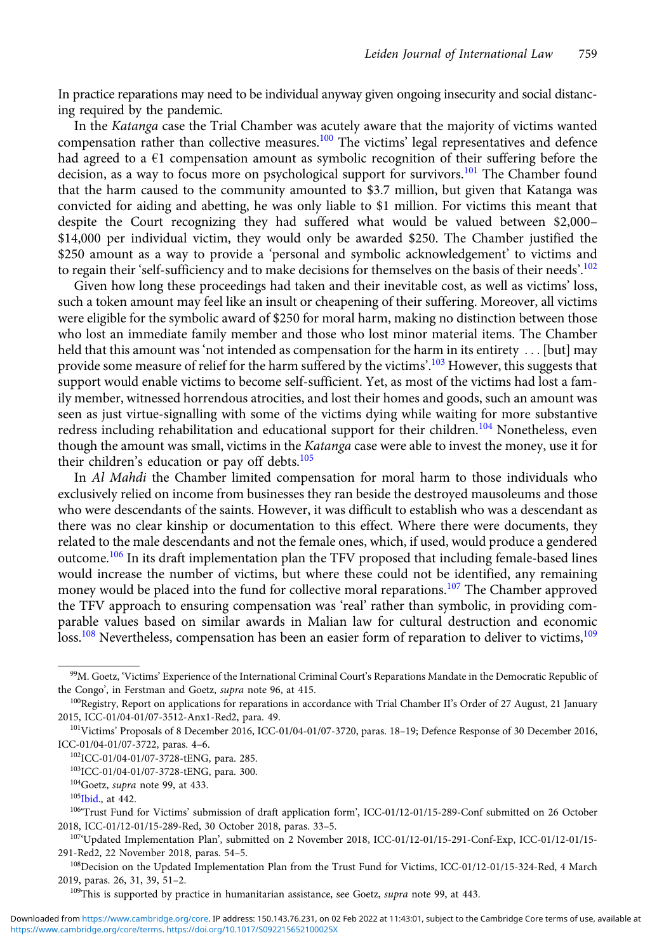<span id="page-10-0"></span>In practice reparations may need to be individual anyway given ongoing insecurity and social distancing required by the pandemic.

In the Katanga case the Trial Chamber was acutely aware that the majority of victims wanted compensation rather than collective measures.<sup>100</sup> The victims' legal representatives and defence had agreed to a  $\epsilon$ 1 compensation amount as symbolic recognition of their suffering before the decision, as a way to focus more on psychological support for survivors.<sup>101</sup> The Chamber found that the harm caused to the community amounted to \$3.7 million, but given that Katanga was convicted for aiding and abetting, he was only liable to \$1 million. For victims this meant that despite the Court recognizing they had suffered what would be valued between \$2,000– \$14,000 per individual victim, they would only be awarded \$250. The Chamber justified the \$250 amount as a way to provide a 'personal and symbolic acknowledgement' to victims and to regain their 'self-sufficiency and to make decisions for themselves on the basis of their needs'.<sup>102</sup>

Given how long these proceedings had taken and their inevitable cost, as well as victims' loss, such a token amount may feel like an insult or cheapening of their suffering. Moreover, all victims were eligible for the symbolic award of \$250 for moral harm, making no distinction between those who lost an immediate family member and those who lost minor material items. The Chamber held that this amount was 'not intended as compensation for the harm in its entirety ... [but] may provide some measure of relief for the harm suffered by the victims'. <sup>103</sup> However, this suggests that support would enable victims to become self-sufficient. Yet, as most of the victims had lost a family member, witnessed horrendous atrocities, and lost their homes and goods, such an amount was seen as just virtue-signalling with some of the victims dying while waiting for more substantive redress including rehabilitation and educational support for their children.<sup>104</sup> Nonetheless, even though the amount was small, victims in the Katanga case were able to invest the money, use it for their children's education or pay off debts. $105$ 

In Al Mahdi the Chamber limited compensation for moral harm to those individuals who exclusively relied on income from businesses they ran beside the destroyed mausoleums and those who were descendants of the saints. However, it was difficult to establish who was a descendant as there was no clear kinship or documentation to this effect. Where there were documents, they related to the male descendants and not the female ones, which, if used, would produce a gendered outcome.<sup>106</sup> In its draft implementation plan the TFV proposed that including female-based lines would increase the number of victims, but where these could not be identified, any remaining money would be placed into the fund for collective moral reparations.<sup>107</sup> The Chamber approved the TFV approach to ensuring compensation was 'real' rather than symbolic, in providing comparable values based on similar awards in Malian law for cultural destruction and economic loss.<sup>108</sup> Nevertheless, compensation has been an easier form of reparation to deliver to victims,<sup>109</sup>

<sup>99</sup>M. Goetz, 'Victims' Experience of the International Criminal Court's Reparations Mandate in the Democratic Republic of the Congo', in Ferstman and Goetz, supra note 96, at 415.

<sup>&</sup>lt;sup>100</sup>Registry, Report on applications for reparations in accordance with Trial Chamber II's Order of 27 August, 21 January 2015, ICC-01/04-01/07-3512-Anx1-Red2, para. 49.

<sup>101</sup>Victims' Proposals of 8 December 2016, ICC-01/04-01/07-3720, paras. 18–19; Defence Response of 30 December 2016, ICC-01/04-01/07-3722, paras. 4–6.

<sup>102</sup>ICC-01/04-01/07-3728-tENG, para. 285.

<sup>103</sup>ICC-01/04-01/07-3728-tENG, para. 300.

 $104$ Goetz, supra note 99, at 433.

<sup>&</sup>lt;sup>105</sup>Ibid., at 442.

<sup>106</sup>'Trust Fund for Victims' submission of draft application form', ICC-01/12-01/15-289-Conf submitted on 26 October 2018, ICC-01/12-01/15-289-Red, 30 October 2018, paras. 33–5.

<sup>107</sup>'Updated Implementation Plan', submitted on 2 November 2018, ICC-01/12-01/15-291-Conf-Exp, ICC-01/12-01/15- 291-Red2, 22 November 2018, paras. 54–5.

<sup>&</sup>lt;sup>108</sup>Decision on the Updated Implementation Plan from the Trust Fund for Victims, ICC-01/12-01/15-324-Red, 4 March 2019, paras. 26, 31, 39, 51–2.

 $109$ This is supported by practice in humanitarian assistance, see Goetz, supra note 99, at 443.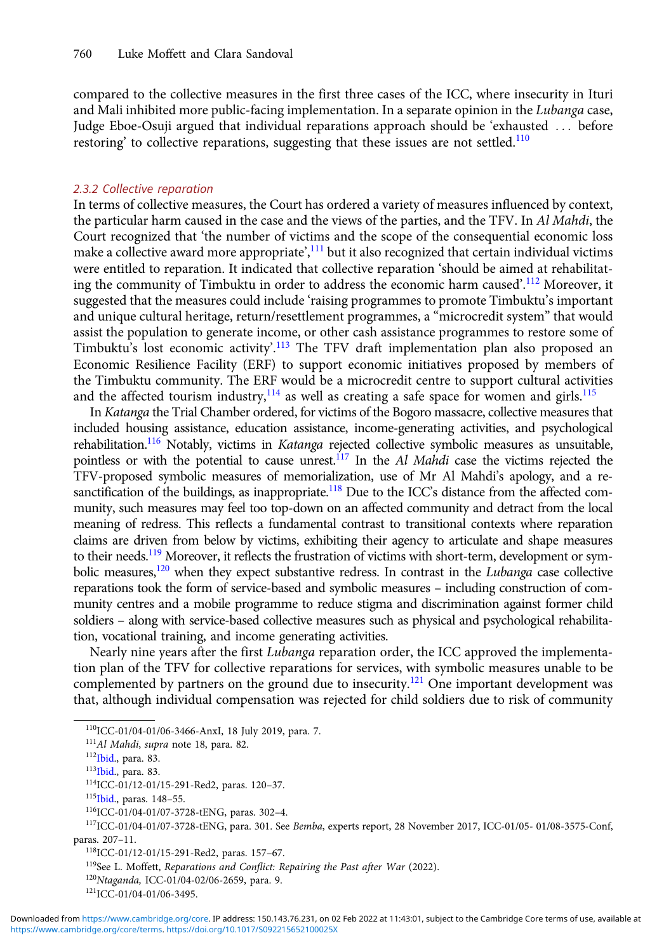<span id="page-11-0"></span>compared to the collective measures in the first three cases of the ICC, where insecurity in Ituri and Mali inhibited more public-facing implementation. In a separate opinion in the Lubanga case, Judge Eboe-Osuji argued that individual reparations approach should be 'exhausted ::: before restoring' to collective reparations, suggesting that these issues are not settled.<sup>110</sup>

#### 2.3.2 Collective reparation

In terms of collective measures, the Court has ordered a variety of measures influenced by context, the particular harm caused in the case and the views of the parties, and the TFV. In Al Mahdi, the Court recognized that 'the number of victims and the scope of the consequential economic loss make a collective award more appropriate',<sup>111</sup> but it also recognized that certain individual victims were entitled to reparation. It indicated that collective reparation 'should be aimed at rehabilitating the community of Timbuktu in order to address the economic harm caused'. <sup>112</sup> Moreover, it suggested that the measures could include 'raising programmes to promote Timbuktu's important and unique cultural heritage, return/resettlement programmes, a "microcredit system" that would assist the population to generate income, or other cash assistance programmes to restore some of Timbuktu's lost economic activity'.<sup>113</sup> The TFV draft implementation plan also proposed an Economic Resilience Facility (ERF) to support economic initiatives proposed by members of the Timbuktu community. The ERF would be a microcredit centre to support cultural activities and the affected tourism industry,  $^{114}$  as well as creating a safe space for women and girls.<sup>115</sup>

In Katanga the Trial Chamber ordered, for victims of the Bogoro massacre, collective measures that included housing assistance, education assistance, income-generating activities, and psychological rehabilitation.<sup>116</sup> Notably, victims in *Katanga* rejected collective symbolic measures as unsuitable, pointless or with the potential to cause unrest.<sup>117</sup> In the Al Mahdi case the victims rejected the TFV-proposed symbolic measures of memorialization, use of Mr Al Mahdi's apology, and a resanctification of the buildings, as inappropriate.<sup>118</sup> Due to the ICC's distance from the affected community, such measures may feel too top-down on an affected community and detract from the local meaning of redress. This reflects a fundamental contrast to transitional contexts where reparation claims are driven from below by victims, exhibiting their agency to articulate and shape measures to their needs.<sup>119</sup> Moreover, it reflects the frustration of victims with short-term, development or symbolic measures, $120$  when they expect substantive redress. In contrast in the Lubanga case collective reparations took the form of service-based and symbolic measures – including construction of community centres and a mobile programme to reduce stigma and discrimination against former child soldiers – along with service-based collective measures such as physical and psychological rehabilitation, vocational training, and income generating activities.

Nearly nine years after the first Lubanga reparation order, the ICC approved the implementation plan of the TFV for collective reparations for services, with symbolic measures unable to be complemented by partners on the ground due to insecurity.<sup>121</sup> One important development was that, although individual compensation was rejected for child soldiers due to risk of community

<sup>110</sup>ICC-01/04-01/06-3466-AnxI, 18 July 2019, para. 7.

<sup>111</sup>Al Mahdi, supra note 18, para. 82.

<sup>112</sup>Ibid., para. 83.

<sup>113</sup>Ibid., para. 83.

<sup>114</sup>ICC-01/12-01/15-291-Red2, paras. 120–37.

<sup>115</sup>Ibid., paras. 148–55.

<sup>116</sup>ICC-01/04-01/07-3728-tENG, paras. 302–4.

<sup>117</sup>ICC-01/04-01/07-3728-tENG, para. 301. See Bemba, experts report, 28 November 2017, ICC-01/05- 01/08-3575-Conf, paras. 207–11.

<sup>118</sup>ICC-01/12-01/15-291-Red2, paras. 157–67.

<sup>&</sup>lt;sup>119</sup>See L. Moffett, Reparations and Conflict: Repairing the Past after War (2022).

<sup>120</sup>Ntaganda, ICC-01/04-02/06-2659, para. 9.

<sup>121</sup>ICC-01/04-01/06-3495.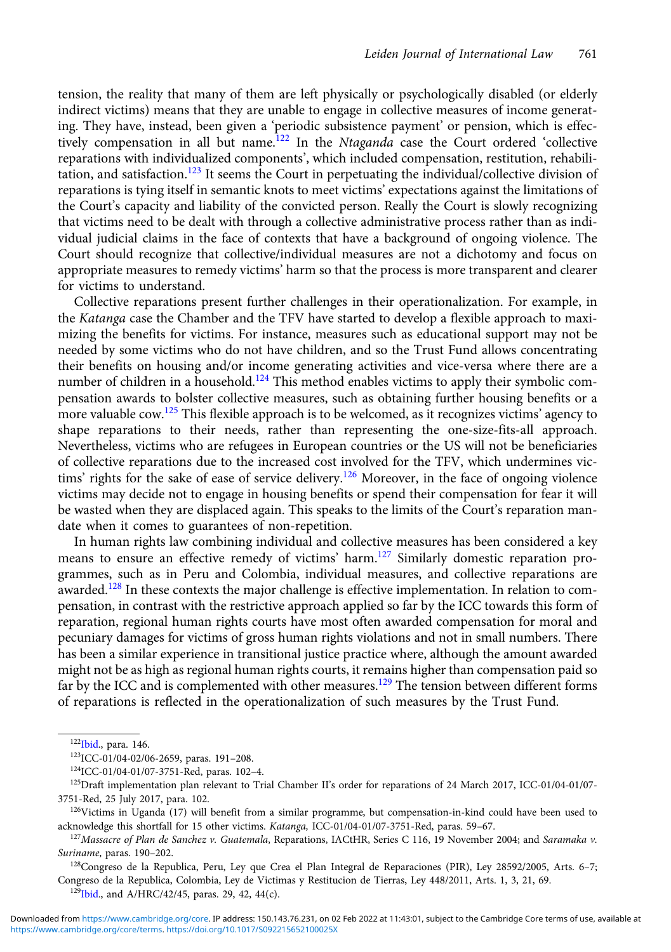tension, the reality that many of them are left physically or psychologically disabled (or elderly indirect victims) means that they are unable to engage in collective measures of income generating. They have, instead, been given a 'periodic subsistence payment' or pension, which is effectively compensation in all but name.<sup>122</sup> In the *Ntaganda* case the Court ordered 'collective reparations with individualized components', which included compensation, restitution, rehabilitation, and satisfaction.<sup>123</sup> It seems the Court in perpetuating the individual/collective division of reparations is tying itself in semantic knots to meet victims' expectations against the limitations of the Court's capacity and liability of the convicted person. Really the Court is slowly recognizing that victims need to be dealt with through a collective administrative process rather than as individual judicial claims in the face of contexts that have a background of ongoing violence. The Court should recognize that collective/individual measures are not a dichotomy and focus on appropriate measures to remedy victims' harm so that the process is more transparent and clearer for victims to understand.

Collective reparations present further challenges in their operationalization. For example, in the Katanga case the Chamber and the TFV have started to develop a flexible approach to maximizing the benefits for victims. For instance, measures such as educational support may not be needed by some victims who do not have children, and so the Trust Fund allows concentrating their benefits on housing and/or income generating activities and vice-versa where there are a number of children in a household.<sup>124</sup> This method enables victims to apply their symbolic compensation awards to bolster collective measures, such as obtaining further housing benefits or a more valuable  $\text{row}$ .<sup>125</sup> This flexible approach is to be welcomed, as it recognizes victims' agency to shape reparations to their needs, rather than representing the one-size-fits-all approach. Nevertheless, victims who are refugees in European countries or the US will not be beneficiaries of collective reparations due to the increased cost involved for the TFV, which undermines victims' rights for the sake of ease of service delivery.<sup>126</sup> Moreover, in the face of ongoing violence victims may decide not to engage in housing benefits or spend their compensation for fear it will be wasted when they are displaced again. This speaks to the limits of the Court's reparation mandate when it comes to guarantees of non-repetition.

In human rights law combining individual and collective measures has been considered a key means to ensure an effective remedy of victims' harm.<sup>127</sup> Similarly domestic reparation programmes, such as in Peru and Colombia, individual measures, and collective reparations are awarded.<sup>128</sup> In these contexts the major challenge is effective implementation. In relation to compensation, in contrast with the restrictive approach applied so far by the ICC towards this form of reparation, regional human rights courts have most often awarded compensation for moral and pecuniary damages for victims of gross human rights violations and not in small numbers. There has been a similar experience in transitional justice practice where, although the amount awarded might not be as high as regional human rights courts, it remains higher than compensation paid so far by the ICC and is complemented with other measures.<sup>129</sup> The tension between different forms of reparations is reflected in the operationalization of such measures by the Trust Fund.

<sup>128</sup>Congreso de la Republica, Peru, Ley que Crea el Plan Integral de Reparaciones (PIR), Ley 28592/2005, Arts. 6-7; Congreso de la Republica, Colombia, Ley de Victimas y Restitucion de Tierras, Ley 448/2011, Arts. 1, 3, 21, 69.

 $129$ Ibid., and A/HRC/42/45, paras. 29, 42, 44(c).

<sup>12</sup>[2Ibid](#page-11-0)., para. 146.

<sup>123</sup>ICC-01/04-02/06-2659, paras. 191–208.

<sup>124</sup>ICC-01/04-01/07-3751-Red, paras. 102–4.

<sup>&</sup>lt;sup>125</sup>Draft implementation plan relevant to Trial Chamber II's order for reparations of 24 March 2017, ICC-01/04-01/07-3751-Red, 25 July 2017, para. 102.

<sup>&</sup>lt;sup>126</sup>Victims in Uganda (17) will benefit from a similar programme, but compensation-in-kind could have been used to acknowledge this shortfall for 15 other victims. Katanga, ICC-01/04-01/07-3751-Red, paras. 59–67.

<sup>127</sup> Massacre of Plan de Sanchez v. Guatemala, Reparations, IACtHR, Series C 116, 19 November 2004; and Saramaka v. Suriname, paras. 190–202.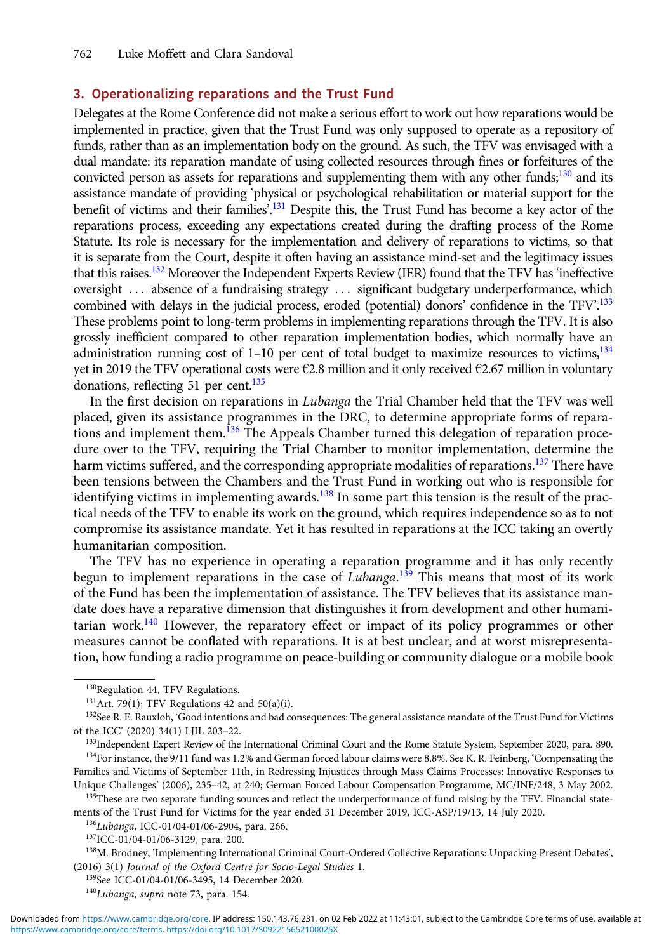#### 3. Operationalizing reparations and the Trust Fund

Delegates at the Rome Conference did not make a serious effort to work out how reparations would be implemented in practice, given that the Trust Fund was only supposed to operate as a repository of funds, rather than as an implementation body on the ground. As such, the TFV was envisaged with a dual mandate: its reparation mandate of using collected resources through fines or forfeitures of the convicted person as assets for reparations and supplementing them with any other funds;<sup>130</sup> and its assistance mandate of providing 'physical or psychological rehabilitation or material support for the benefit of victims and their families'.<sup>131</sup> Despite this, the Trust Fund has become a key actor of the reparations process, exceeding any expectations created during the drafting process of the Rome Statute. Its role is necessary for the implementation and delivery of reparations to victims, so that it is separate from the Court, despite it often having an assistance mind-set and the legitimacy issues that this raises.132 Moreover the Independent Experts Review (IER) found that the TFV has 'ineffective oversight ... absence of a fundraising strategy ... significant budgetary underperformance, which combined with delays in the judicial process, eroded (potential) donors' confidence in the TFV'.<sup>133</sup> These problems point to long-term problems in implementing reparations through the TFV. It is also grossly inefficient compared to other reparation implementation bodies, which normally have an administration running cost of 1-10 per cent of total budget to maximize resources to victims,  $134$ yet in 2019 the TFV operational costs were  $\epsilon$ 2.8 million and it only received  $\epsilon$ 2.67 million in voluntary donations, reflecting 51 per cent. $135$ 

In the first decision on reparations in Lubanga the Trial Chamber held that the TFV was well placed, given its assistance programmes in the DRC, to determine appropriate forms of reparations and implement them.<sup>136</sup> The Appeals Chamber turned this delegation of reparation procedure over to the TFV, requiring the Trial Chamber to monitor implementation, determine the harm victims suffered, and the corresponding appropriate modalities of reparations.<sup>137</sup> There have been tensions between the Chambers and the Trust Fund in working out who is responsible for identifying victims in implementing awards.<sup>138</sup> In some part this tension is the result of the practical needs of the TFV to enable its work on the ground, which requires independence so as to not compromise its assistance mandate. Yet it has resulted in reparations at the ICC taking an overtly humanitarian composition.

The TFV has no experience in operating a reparation programme and it has only recently begun to implement reparations in the case of *Lubanga*.<sup>139</sup> This means that most of its work of the Fund has been the implementation of assistance. The TFV believes that its assistance mandate does have a reparative dimension that distinguishes it from development and other humanitarian work.<sup>140</sup> However, the reparatory effect or impact of its policy programmes or other measures cannot be conflated with reparations. It is at best unclear, and at worst misrepresentation, how funding a radio programme on peace-building or community dialogue or a mobile book

Unique Challenges' (2006), 235–42, at 240; German Forced Labour Compensation Programme, MC/INF/248, 3 May 2002. <sup>135</sup>These are two separate funding sources and reflect the underperformance of fund raising by the TFV. Financial state-

ments of the Trust Fund for Victims for the year ended 31 December 2019, ICC-ASP/19/13, 14 July 2020.

136Lubanga, ICC-01/04-01/06-2904, para. 266.

139See ICC-01/04-01/06-3495, 14 December 2020.

<sup>&</sup>lt;sup>130</sup>Regulation 44, TFV Regulations.

 $131$  Art. 79(1); TFV Regulations 42 and 50(a)(i).

<sup>132</sup>See R. E. Rauxloh, 'Good intentions and bad consequences: The general assistance mandate of the Trust Fund for Victims of the ICC' (2020) 34(1) LJIL 203–22.

<sup>&</sup>lt;sup>133</sup>Independent Expert Review of the International Criminal Court and the Rome Statute System, September 2020, para. 890. 134For instance, the 9/11 fund was 1.2% and German forced labour claims were 8.8%. See K. R. Feinberg, 'Compensating the Families and Victims of September 11th, in Redressing Injustices through Mass Claims Processes: Innovative Responses to

<sup>137</sup>ICC-01/04-01/06-3129, para. 200.

<sup>138</sup>M. Brodney, 'Implementing International Criminal Court-Ordered Collective Reparations: Unpacking Present Debates', (2016) 3(1) Journal of the Oxford Centre for Socio-Legal Studies 1.

<sup>&</sup>lt;sup>140</sup>Lubanga, supra note 73, para. 154.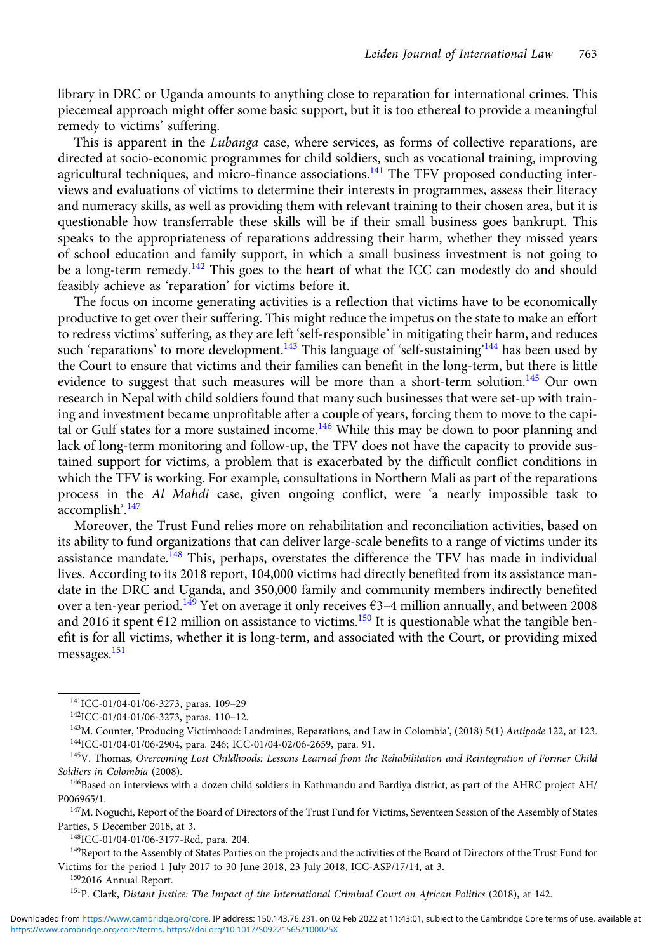library in DRC or Uganda amounts to anything close to reparation for international crimes. This piecemeal approach might offer some basic support, but it is too ethereal to provide a meaningful remedy to victims' suffering.

This is apparent in the Lubanga case, where services, as forms of collective reparations, are directed at socio-economic programmes for child soldiers, such as vocational training, improving agricultural techniques, and micro-finance associations.<sup>141</sup> The TFV proposed conducting interviews and evaluations of victims to determine their interests in programmes, assess their literacy and numeracy skills, as well as providing them with relevant training to their chosen area, but it is questionable how transferrable these skills will be if their small business goes bankrupt. This speaks to the appropriateness of reparations addressing their harm, whether they missed years of school education and family support, in which a small business investment is not going to be a long-term remedy.<sup>142</sup> This goes to the heart of what the ICC can modestly do and should feasibly achieve as 'reparation' for victims before it.

The focus on income generating activities is a reflection that victims have to be economically productive to get over their suffering. This might reduce the impetus on the state to make an effort to redress victims' suffering, as they are left 'self-responsible' in mitigating their harm, and reduces such 'reparations' to more development.<sup>143</sup> This language of 'self-sustaining'<sup>144</sup> has been used by the Court to ensure that victims and their families can benefit in the long-term, but there is little evidence to suggest that such measures will be more than a short-term solution.<sup>145</sup> Our own research in Nepal with child soldiers found that many such businesses that were set-up with training and investment became unprofitable after a couple of years, forcing them to move to the capital or Gulf states for a more sustained income.<sup>146</sup> While this may be down to poor planning and lack of long-term monitoring and follow-up, the TFV does not have the capacity to provide sustained support for victims, a problem that is exacerbated by the difficult conflict conditions in which the TFV is working. For example, consultations in Northern Mali as part of the reparations process in the Al Mahdi case, given ongoing conflict, were 'a nearly impossible task to accomplish'. 147

Moreover, the Trust Fund relies more on rehabilitation and reconciliation activities, based on its ability to fund organizations that can deliver large-scale benefits to a range of victims under its assistance mandate.<sup>148</sup> This, perhaps, overstates the difference the TFV has made in individual lives. According to its 2018 report, 104,000 victims had directly benefited from its assistance mandate in the DRC and Uganda, and 350,000 family and community members indirectly benefited over a ten-year period.<sup>149</sup> Yet on average it only receives  $63-4$  million annually, and between 2008 and 2016 it spent  $E12$  million on assistance to victims.<sup>150</sup> It is questionable what the tangible benefit is for all victims, whether it is long-term, and associated with the Court, or providing mixed messages.<sup>151</sup>

148ICC-01/04-01/06-3177-Red, para. 204.

<sup>149</sup>Report to the Assembly of States Parties on the projects and the activities of the Board of Directors of the Trust Fund for Victims for the period 1 July 2017 to 30 June 2018, 23 July 2018, ICC-ASP/17/14, at 3.

1502016 Annual Report.

<sup>151</sup>P. Clark, Distant Justice: The Impact of the International Criminal Court on African Politics (2018), at 142.

<sup>141</sup>ICC-01/04-01/06-3273, paras. 109–29

<sup>142</sup>ICC-01/04-01/06-3273, paras. 110–12.

<sup>&</sup>lt;sup>143</sup>M. Counter, 'Producing Victimhood: Landmines, Reparations, and Law in Colombia', (2018) 5(1) Antipode 122, at 123. 144ICC-01/04-01/06-2904, para. 246; ICC-01/04-02/06-2659, para. 91.

<sup>&</sup>lt;sup>145</sup>V. Thomas, Overcoming Lost Childhoods: Lessons Learned from the Rehabilitation and Reintegration of Former Child Soldiers in Colombia (2008).

<sup>146</sup>Based on interviews with a dozen child soldiers in Kathmandu and Bardiya district, as part of the AHRC project AH/ P006965/1.

<sup>&</sup>lt;sup>147</sup>M. Noguchi, Report of the Board of Directors of the Trust Fund for Victims, Seventeen Session of the Assembly of States Parties, 5 December 2018, at 3.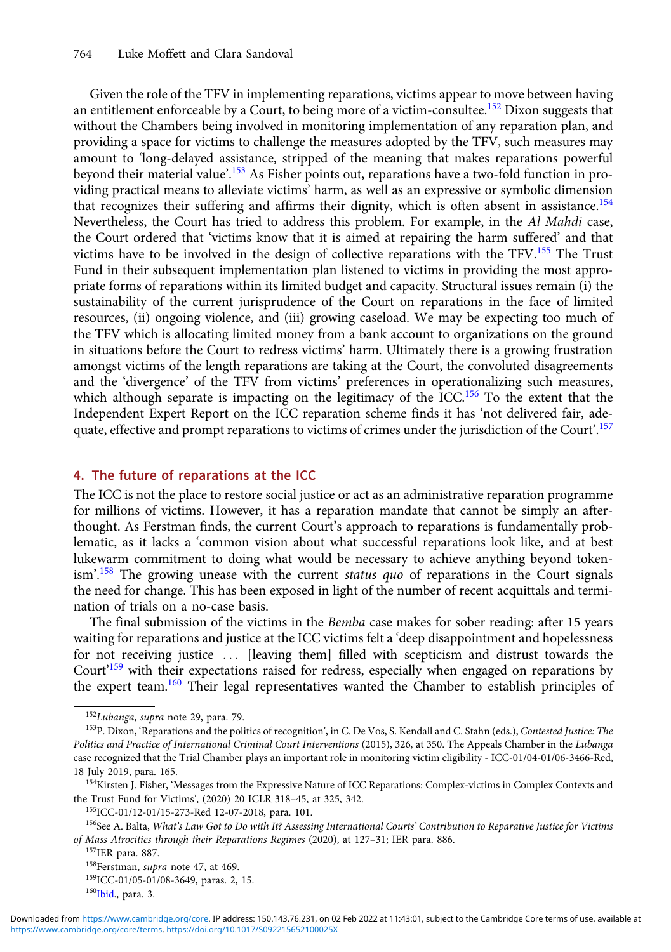<span id="page-15-0"></span>Given the role of the TFV in implementing reparations, victims appear to move between having an entitlement enforceable by a Court, to being more of a victim-consultee.<sup>152</sup> Dixon suggests that without the Chambers being involved in monitoring implementation of any reparation plan, and providing a space for victims to challenge the measures adopted by the TFV, such measures may amount to 'long-delayed assistance, stripped of the meaning that makes reparations powerful beyond their material value'.<sup>153</sup> As Fisher points out, reparations have a two-fold function in providing practical means to alleviate victims' harm, as well as an expressive or symbolic dimension that recognizes their suffering and affirms their dignity, which is often absent in assistance.<sup>154</sup> Nevertheless, the Court has tried to address this problem. For example, in the Al Mahdi case, the Court ordered that 'victims know that it is aimed at repairing the harm suffered' and that victims have to be involved in the design of collective reparations with the TFV.<sup>155</sup> The Trust Fund in their subsequent implementation plan listened to victims in providing the most appropriate forms of reparations within its limited budget and capacity. Structural issues remain (i) the sustainability of the current jurisprudence of the Court on reparations in the face of limited resources, (ii) ongoing violence, and (iii) growing caseload. We may be expecting too much of the TFV which is allocating limited money from a bank account to organizations on the ground in situations before the Court to redress victims' harm. Ultimately there is a growing frustration amongst victims of the length reparations are taking at the Court, the convoluted disagreements and the 'divergence' of the TFV from victims' preferences in operationalizing such measures, which although separate is impacting on the legitimacy of the ICC.<sup>156</sup> To the extent that the Independent Expert Report on the ICC reparation scheme finds it has 'not delivered fair, adequate, effective and prompt reparations to victims of crimes under the jurisdiction of the Court'.<sup>157</sup>

#### 4. The future of reparations at the ICC

The ICC is not the place to restore social justice or act as an administrative reparation programme for millions of victims. However, it has a reparation mandate that cannot be simply an afterthought. As Ferstman finds, the current Court's approach to reparations is fundamentally problematic, as it lacks a 'common vision about what successful reparations look like, and at best lukewarm commitment to doing what would be necessary to achieve anything beyond tokenism'.<sup>158</sup> The growing unease with the current status quo of reparations in the Court signals the need for change. This has been exposed in light of the number of recent acquittals and termination of trials on a no-case basis.

The final submission of the victims in the *Bemba* case makes for sober reading: after 15 years waiting for reparations and justice at the ICC victims felt a 'deep disappointment and hopelessness for not receiving justice ::: [leaving them] filled with scepticism and distrust towards the Court'<sup>159</sup> with their expectations raised for redress, especially when engaged on reparations by the expert team.160 Their legal representatives wanted the Chamber to establish principles of

<sup>152</sup>Lubanga, supra note 29, para. 79.

<sup>&</sup>lt;sup>153</sup>P. Dixon, 'Reparations and the politics of recognition', in C. De Vos, S. Kendall and C. Stahn (eds.), Contested Justice: The Politics and Practice of International Criminal Court Interventions (2015), 326, at 350. The Appeals Chamber in the Lubanga case recognized that the Trial Chamber plays an important role in monitoring victim eligibility - ICC-01/04-01/06-3466-Red, 18 July 2019, para. 165.

<sup>154</sup> Kirsten J. Fisher, 'Messages from the Expressive Nature of ICC Reparations: Complex-victims in Complex Contexts and the Trust Fund for Victims', (2020) 20 ICLR 318–45, at 325, 342.

<sup>155</sup>ICC-01/12-01/15-273-Red 12-07-2018, para. 101.

<sup>&</sup>lt;sup>156</sup>See A. Balta, What's Law Got to Do with It? Assessing International Courts' Contribution to Reparative Justice for Victims of Mass Atrocities through their Reparations Regimes (2020), at 127–31; IER para. 886.

<sup>157</sup>IER para. 887.

<sup>&</sup>lt;sup>158</sup>Ferstman, *supra* note 47, at 469.

<sup>159</sup>ICC-01/05-01/08-3649, paras. 2, 15.

<sup>160&</sup>lt;sub>Ibid.</sub>, para. 3.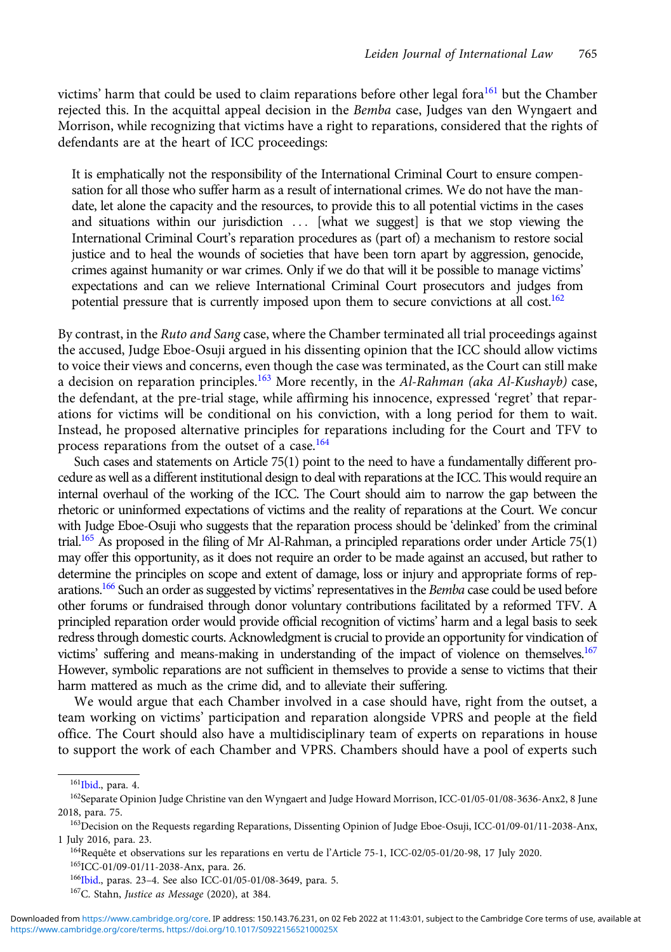victims' harm that could be used to claim reparations before other legal fora $^{161}$  but the Chamber rejected this. In the acquittal appeal decision in the Bemba case, Judges van den Wyngaert and Morrison, while recognizing that victims have a right to reparations, considered that the rights of defendants are at the heart of ICC proceedings:

It is emphatically not the responsibility of the International Criminal Court to ensure compensation for all those who suffer harm as a result of international crimes. We do not have the mandate, let alone the capacity and the resources, to provide this to all potential victims in the cases and situations within our jurisdiction ::: [what we suggest] is that we stop viewing the International Criminal Court's reparation procedures as (part of) a mechanism to restore social justice and to heal the wounds of societies that have been torn apart by aggression, genocide, crimes against humanity or war crimes. Only if we do that will it be possible to manage victims' expectations and can we relieve International Criminal Court prosecutors and judges from potential pressure that is currently imposed upon them to secure convictions at all cost.<sup>162</sup>

By contrast, in the Ruto and Sang case, where the Chamber terminated all trial proceedings against the accused, Judge Eboe-Osuji argued in his dissenting opinion that the ICC should allow victims to voice their views and concerns, even though the case was terminated, as the Court can still make a decision on reparation principles.<sup>163</sup> More recently, in the Al-Rahman (aka Al-Kushayb) case, the defendant, at the pre-trial stage, while affirming his innocence, expressed 'regret' that reparations for victims will be conditional on his conviction, with a long period for them to wait. Instead, he proposed alternative principles for reparations including for the Court and TFV to process reparations from the outset of a case.<sup>164</sup>

Such cases and statements on Article 75(1) point to the need to have a fundamentally different procedure as well as a different institutional design to deal with reparations at the ICC. This would require an internal overhaul of the working of the ICC. The Court should aim to narrow the gap between the rhetoric or uninformed expectations of victims and the reality of reparations at the Court. We concur with Judge Eboe-Osuji who suggests that the reparation process should be 'delinked' from the criminal trial.<sup>165</sup> As proposed in the filing of Mr Al-Rahman, a principled reparations order under Article 75(1) may offer this opportunity, as it does not require an order to be made against an accused, but rather to determine the principles on scope and extent of damage, loss or injury and appropriate forms of reparations.<sup>166</sup> Such an order as suggested by victims' representatives in the Bemba case could be used before other forums or fundraised through donor voluntary contributions facilitated by a reformed TFV. A principled reparation order would provide official recognition of victims' harm and a legal basis to seek redress through domestic courts. Acknowledgment is crucial to provide an opportunity for vindication of victims' suffering and means-making in understanding of the impact of violence on themselves.<sup>167</sup> However, symbolic reparations are not sufficient in themselves to provide a sense to victims that their harm mattered as much as the crime did, and to alleviate their suffering.

We would argue that each Chamber involved in a case should have, right from the outset, a team working on victims' participation and reparation alongside VPRS and people at the field office. The Court should also have a multidisciplinary team of experts on reparations in house to support the work of each Chamber and VPRS. Chambers should have a pool of experts such

165ICC-01/09-01/11-2038-Anx, para. 26.

<sup>161&</sup>lt;sub>Ibid.</sub>, para. 4.

<sup>162</sup>Separate Opinion Judge Christine van den Wyngaert and Judge Howard Morrison, ICC-01/05-01/08-3636-Anx2, 8 June 2018, para. 75.

<sup>163</sup>Decision on the Requests regarding Reparations, Dissenting Opinion of Judge Eboe-Osuji, ICC-01/09-01/11-2038-Anx, 1 July 2016, para. 23.

<sup>164</sup>Requête et observations sur les reparations en vertu de l'Article 75-1, ICC-02/05-01/20-98, 17 July 2020.

<sup>&</sup>lt;sup>166</sup>Ibid., paras. 23-4. See also ICC-01/05-01/08-3649, para. 5.

<sup>167</sup>C. Stahn, Justice as Message (2020), at 384.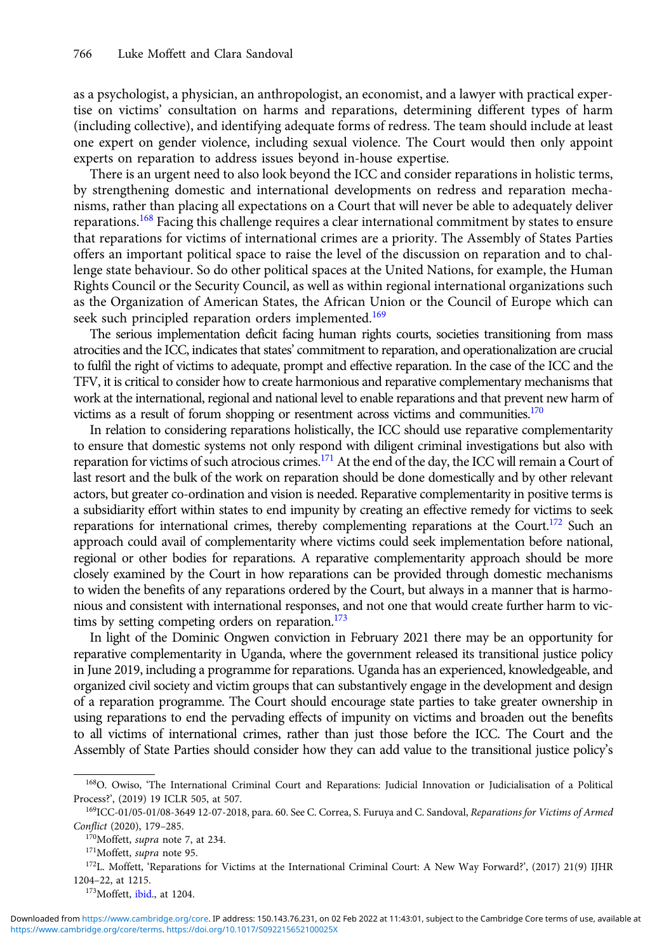as a psychologist, a physician, an anthropologist, an economist, and a lawyer with practical expertise on victims' consultation on harms and reparations, determining different types of harm (including collective), and identifying adequate forms of redress. The team should include at least one expert on gender violence, including sexual violence. The Court would then only appoint experts on reparation to address issues beyond in-house expertise.

There is an urgent need to also look beyond the ICC and consider reparations in holistic terms, by strengthening domestic and international developments on redress and reparation mechanisms, rather than placing all expectations on a Court that will never be able to adequately deliver reparations.<sup>168</sup> Facing this challenge requires a clear international commitment by states to ensure that reparations for victims of international crimes are a priority. The Assembly of States Parties offers an important political space to raise the level of the discussion on reparation and to challenge state behaviour. So do other political spaces at the United Nations, for example, the Human Rights Council or the Security Council, as well as within regional international organizations such as the Organization of American States, the African Union or the Council of Europe which can seek such principled reparation orders implemented.<sup>169</sup>

The serious implementation deficit facing human rights courts, societies transitioning from mass atrocities and the ICC, indicates that states' commitment to reparation, and operationalization are crucial to fulfil the right of victims to adequate, prompt and effective reparation. In the case of the ICC and the TFV, it is critical to consider how to create harmonious and reparative complementary mechanisms that work at the international, regional and national level to enable reparations and that prevent new harm of victims as a result of forum shopping or resentment across victims and communities. $170$ 

In relation to considering reparations holistically, the ICC should use reparative complementarity to ensure that domestic systems not only respond with diligent criminal investigations but also with reparation for victims of such atrocious crimes.<sup>171</sup> At the end of the day, the ICC will remain a Court of last resort and the bulk of the work on reparation should be done domestically and by other relevant actors, but greater co-ordination and vision is needed. Reparative complementarity in positive terms is a subsidiarity effort within states to end impunity by creating an effective remedy for victims to seek reparations for international crimes, thereby complementing reparations at the Court.<sup>172</sup> Such an approach could avail of complementarity where victims could seek implementation before national, regional or other bodies for reparations. A reparative complementarity approach should be more closely examined by the Court in how reparations can be provided through domestic mechanisms to widen the benefits of any reparations ordered by the Court, but always in a manner that is harmonious and consistent with international responses, and not one that would create further harm to victims by setting competing orders on reparation. $173$ 

In light of the Dominic Ongwen conviction in February 2021 there may be an opportunity for reparative complementarity in Uganda, where the government released its transitional justice policy in June 2019, including a programme for reparations. Uganda has an experienced, knowledgeable, and organized civil society and victim groups that can substantively engage in the development and design of a reparation programme. The Court should encourage state parties to take greater ownership in using reparations to end the pervading effects of impunity on victims and broaden out the benefits to all victims of international crimes, rather than just those before the ICC. The Court and the Assembly of State Parties should consider how they can add value to the transitional justice policy's

173 Moffett, ibid., at 1204.

<sup>&</sup>lt;sup>168</sup>O. Owiso, 'The International Criminal Court and Reparations: Judicial Innovation or Judicialisation of a Political Process?', (2019) 19 ICLR 505, at 507.

<sup>&</sup>lt;sup>169</sup>ICC-01/05-01/08-3649 12-07-2018, para. 60. See C. Correa, S. Furuya and C. Sandoval, Reparations for Victims of Armed Conflict (2020), 179–285.

<sup>&</sup>lt;sup>170</sup>Moffett, *supra* note 7, at 234.

<sup>&</sup>lt;sup>171</sup>Moffett, supra note 95.

<sup>172</sup>L. Moffett, 'Reparations for Victims at the International Criminal Court: A New Way Forward?', (2017) 21(9) IJHR 1204–22, at 1215.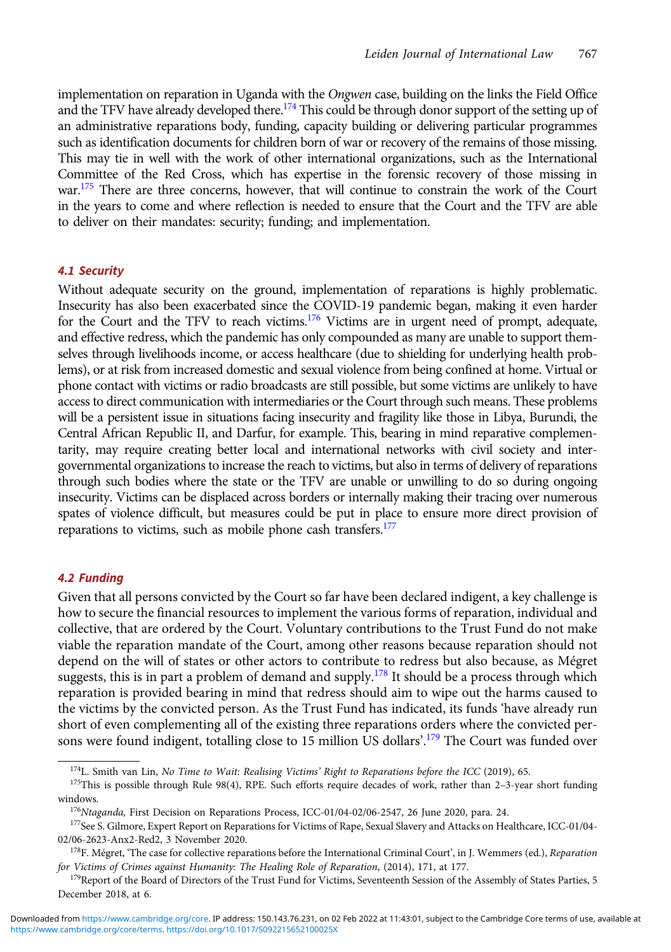implementation on reparation in Uganda with the Ongwen case, building on the links the Field Office and the TFV have already developed there.<sup>174</sup> This could be through donor support of the setting up of an administrative reparations body, funding, capacity building or delivering particular programmes such as identification documents for children born of war or recovery of the remains of those missing. This may tie in well with the work of other international organizations, such as the International Committee of the Red Cross, which has expertise in the forensic recovery of those missing in war.<sup>175</sup> There are three concerns, however, that will continue to constrain the work of the Court in the years to come and where reflection is needed to ensure that the Court and the TFV are able to deliver on their mandates: security; funding; and implementation.

#### 4.1 Security

Without adequate security on the ground, implementation of reparations is highly problematic. Insecurity has also been exacerbated since the COVID-19 pandemic began, making it even harder for the Court and the TFV to reach victims.<sup>176</sup> Victims are in urgent need of prompt, adequate, and effective redress, which the pandemic has only compounded as many are unable to support themselves through livelihoods income, or access healthcare (due to shielding for underlying health problems), or at risk from increased domestic and sexual violence from being confined at home. Virtual or phone contact with victims or radio broadcasts are still possible, but some victims are unlikely to have access to direct communication with intermediaries or the Court through such means. These problems will be a persistent issue in situations facing insecurity and fragility like those in Libya, Burundi, the Central African Republic II, and Darfur, for example. This, bearing in mind reparative complementarity, may require creating better local and international networks with civil society and intergovernmental organizations to increase the reach to victims, but also in terms of delivery of reparations through such bodies where the state or the TFV are unable or unwilling to do so during ongoing insecurity. Victims can be displaced across borders or internally making their tracing over numerous spates of violence difficult, but measures could be put in place to ensure more direct provision of reparations to victims, such as mobile phone cash transfers.<sup>177</sup>

#### 4.2 Funding

Given that all persons convicted by the Court so far have been declared indigent, a key challenge is how to secure the financial resources to implement the various forms of reparation, individual and collective, that are ordered by the Court. Voluntary contributions to the Trust Fund do not make viable the reparation mandate of the Court, among other reasons because reparation should not depend on the will of states or other actors to contribute to redress but also because, as Mégret suggests, this is in part a problem of demand and supply.<sup>178</sup> It should be a process through which reparation is provided bearing in mind that redress should aim to wipe out the harms caused to the victims by the convicted person. As the Trust Fund has indicated, its funds 'have already run short of even complementing all of the existing three reparations orders where the convicted persons were found indigent, totalling close to 15 million US dollars'. <sup>179</sup> The Court was funded over

 $174$ L. Smith van Lin, No Time to Wait: Realising Victims' Right to Reparations before the ICC (2019), 65.

<sup>175</sup>This is possible through Rule 98(4), RPE. Such efforts require decades of work, rather than 2-3-year short funding windows.

<sup>&</sup>lt;sup>176</sup>Ntaganda, First Decision on Reparations Process, ICC-01/04-02/06-2547, 26 June 2020, para. 24.

<sup>&</sup>lt;sup>177</sup>See S. Gilmore, Expert Report on Reparations for Victims of Rape, Sexual Slavery and Attacks on Healthcare, ICC-01/04-02/06-2623-Anx2-Red2, 3 November 2020.

<sup>&</sup>lt;sup>178</sup>F. Mégret, 'The case for collective reparations before the International Criminal Court', in J. Wemmers (ed.), Reparation for Victims of Crimes against Humanity: The Healing Role of Reparation, (2014), 171, at 177.

<sup>&</sup>lt;sup>179</sup>Report of the Board of Directors of the Trust Fund for Victims, Seventeenth Session of the Assembly of States Parties, 5 December 2018, at 6.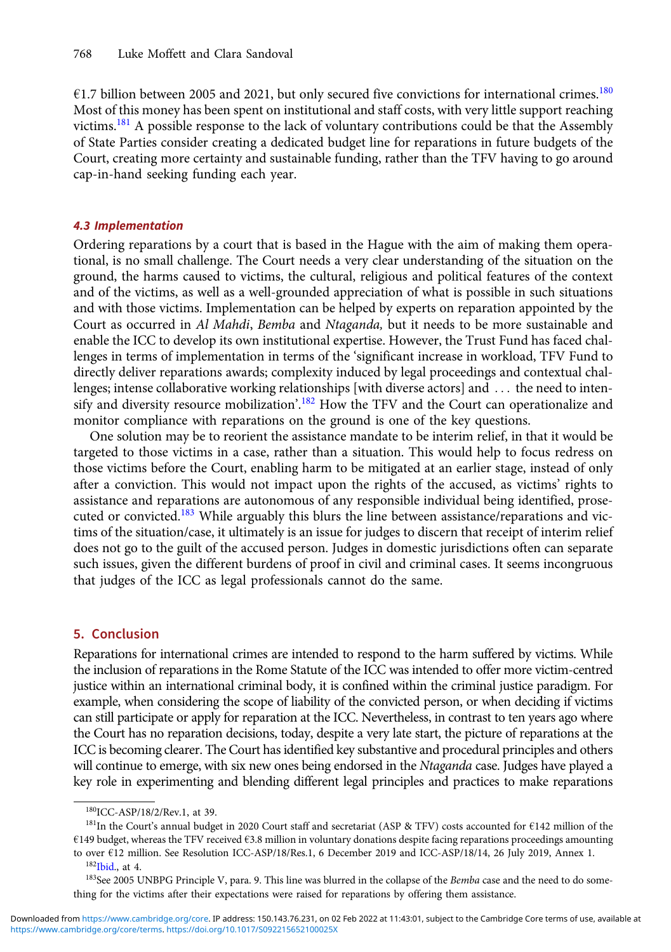$61.7$  billion between 2005 and 2021, but only secured five convictions for international crimes.<sup>180</sup> Most of this money has been spent on institutional and staff costs, with very little support reaching victims.<sup>181</sup> A possible response to the lack of voluntary contributions could be that the Assembly of State Parties consider creating a dedicated budget line for reparations in future budgets of the Court, creating more certainty and sustainable funding, rather than the TFV having to go around cap-in-hand seeking funding each year.

#### 4.3 Implementation

Ordering reparations by a court that is based in the Hague with the aim of making them operational, is no small challenge. The Court needs a very clear understanding of the situation on the ground, the harms caused to victims, the cultural, religious and political features of the context and of the victims, as well as a well-grounded appreciation of what is possible in such situations and with those victims. Implementation can be helped by experts on reparation appointed by the Court as occurred in Al Mahdi, Bemba and Ntaganda, but it needs to be more sustainable and enable the ICC to develop its own institutional expertise. However, the Trust Fund has faced challenges in terms of implementation in terms of the 'significant increase in workload, TFV Fund to directly deliver reparations awards; complexity induced by legal proceedings and contextual challenges; intense collaborative working relationships [with diverse actors] and  $\dots$  the need to intensify and diversity resource mobilization'.<sup>182</sup> How the TFV and the Court can operationalize and monitor compliance with reparations on the ground is one of the key questions.

One solution may be to reorient the assistance mandate to be interim relief, in that it would be targeted to those victims in a case, rather than a situation. This would help to focus redress on those victims before the Court, enabling harm to be mitigated at an earlier stage, instead of only after a conviction. This would not impact upon the rights of the accused, as victims' rights to assistance and reparations are autonomous of any responsible individual being identified, prosecuted or convicted.<sup>183</sup> While arguably this blurs the line between assistance/reparations and victims of the situation/case, it ultimately is an issue for judges to discern that receipt of interim relief does not go to the guilt of the accused person. Judges in domestic jurisdictions often can separate such issues, given the different burdens of proof in civil and criminal cases. It seems incongruous that judges of the ICC as legal professionals cannot do the same.

## 5. Conclusion

Reparations for international crimes are intended to respond to the harm suffered by victims. While the inclusion of reparations in the Rome Statute of the ICC was intended to offer more victim-centred justice within an international criminal body, it is confined within the criminal justice paradigm. For example, when considering the scope of liability of the convicted person, or when deciding if victims can still participate or apply for reparation at the ICC. Nevertheless, in contrast to ten years ago where the Court has no reparation decisions, today, despite a very late start, the picture of reparations at the ICC is becoming clearer. The Court has identified key substantive and procedural principles and others will continue to emerge, with six new ones being endorsed in the Ntaganda case. Judges have played a key role in experimenting and blending different legal principles and practices to make reparations

<sup>180</sup>ICC-ASP/18/2/Rev.1, at 39.

<sup>181</sup>In the Court's annual budget in 2020 Court staff and secretariat (ASP & TFV) costs accounted for €142 million of the €149 budget, whereas the TFV received €3.8 million in voluntary donations despite facing reparations proceedings amounting to over  $E12$  million. See Resolution ICC-ASP/18/Res.1, 6 December 2019 and ICC-ASP/18/14, 26 July 2019, Annex 1.

 $182$ Ibid., at 4.

<sup>&</sup>lt;sup>183</sup>See 2005 UNBPG Principle V, para. 9. This line was blurred in the collapse of the Bemba case and the need to do something for the victims after their expectations were raised for reparations by offering them assistance.